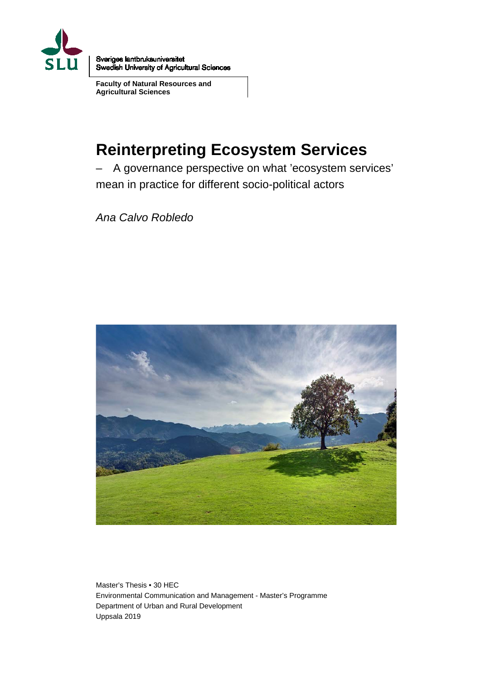

Sveriges lantbruksuniversitet Swedish University of Agricultural Sciences

**Faculty of Natural Resources and Agricultural Sciences**

# **Reinterpreting Ecosystem Services**

– A governance perspective on what 'ecosystem services' mean in practice for different socio-political actors

*Ana Calvo Robledo*



Master's Thesis • 30 HEC Environmental Communication and Management - Master's Programme Department of Urban and Rural Development Uppsala 2019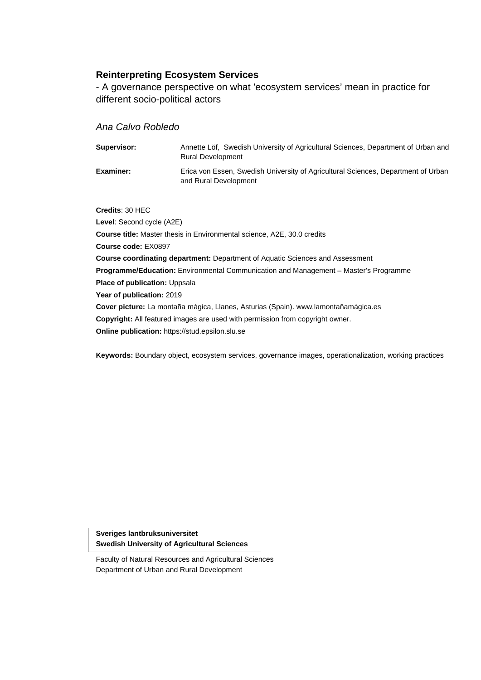## **Reinterpreting Ecosystem Services**

- A governance perspective on what 'ecosystem services' mean in practice for different socio-political actors

## *Ana Calvo Robledo*

| Supervisor:      | Annette Löf, Swedish University of Agricultural Sciences, Department of Urban and<br><b>Rural Development</b> |
|------------------|---------------------------------------------------------------------------------------------------------------|
| <b>Examiner:</b> | Erica von Essen, Swedish University of Agricultural Sciences, Department of Urban<br>and Rural Development    |

**Credits**: 30 HEC

**Level**: Second cycle (A2E) **Course title:** Master thesis in Environmental science, A2E, 30.0 credits **Course code:** EX0897 **Course coordinating department:** Department of Aquatic Sciences and Assessment **Programme/Education:** Environmental Communication and Management – Master's Programme **Place of publication:** Uppsala **Year of publication:** 2019 **Cover picture:** La montaña mágica, Llanes, Asturias (Spain). www.lamontañamágica.es **Copyright:** All featured images are used with permission from copyright owner. **Online publication:** https://stud.epsilon.slu.se

**Keywords:** Boundary object, ecosystem services, governance images, operationalization, working practices

**Sveriges lantbruksuniversitet Swedish University of Agricultural Sciences**

Faculty of Natural Resources and Agricultural Sciences Department of Urban and Rural Development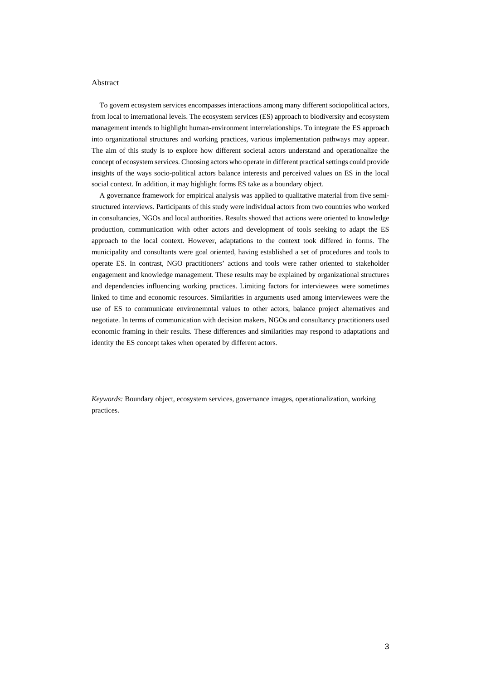#### Abstract

To govern ecosystem services encompasses interactions among many different sociopolitical actors, from local to international levels. The ecosystem services (ES) approach to biodiversity and ecosystem management intends to highlight human-environment interrelationships. To integrate the ES approach into organizational structures and working practices, various implementation pathways may appear. The aim of this study is to explore how different societal actors understand and operationalize the concept of ecosystem services. Choosing actors who operate in different practical settings could provide insights of the ways socio-political actors balance interests and perceived values on ES in the local social context. In addition, it may highlight forms ES take as a boundary object.

A governance framework for empirical analysis was applied to qualitative material from five semistructured interviews. Participants of this study were individual actors from two countries who worked in consultancies, NGOs and local authorities. Results showed that actions were oriented to knowledge production, communication with other actors and development of tools seeking to adapt the ES approach to the local context. However, adaptations to the context took differed in forms. The municipality and consultants were goal oriented, having established a set of procedures and tools to operate ES. In contrast, NGO practitioners' actions and tools were rather oriented to stakeholder engagement and knowledge management. These results may be explained by organizational structures and dependencies influencing working practices. Limiting factors for interviewees were sometimes linked to time and economic resources. Similarities in arguments used among interviewees were the use of ES to communicate environemntal values to other actors, balance project alternatives and negotiate. In terms of communication with decision makers, NGOs and consultancy practitioners used economic framing in their results. These differences and similarities may respond to adaptations and identity the ES concept takes when operated by different actors.

*Keywords:* Boundary object, ecosystem services, governance images, operationalization, working practices.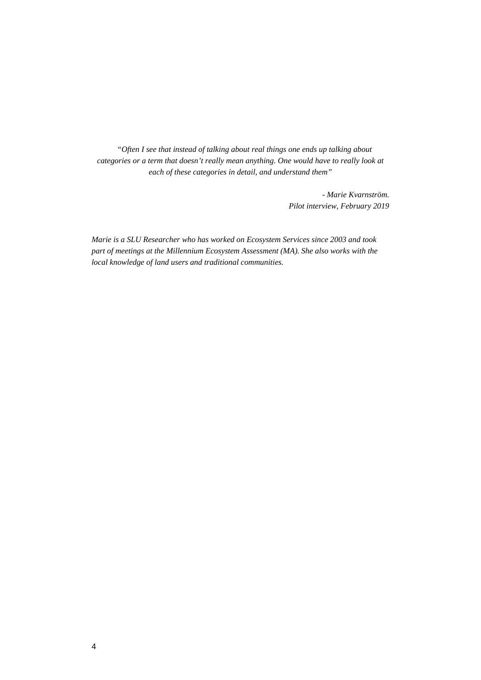*"Often I see that instead of talking about real things one ends up talking about categories or a term that doesn't really mean anything. One would have to really look at each of these categories in detail, and understand them"*

> *- Marie Kvarnström. Pilot interview, February 2019*

*Marie is a SLU Researcher who has worked on Ecosystem Services since 2003 and took part of meetings at the Millennium Ecosystem Assessment (MA). She also works with the local knowledge of land users and traditional communities.*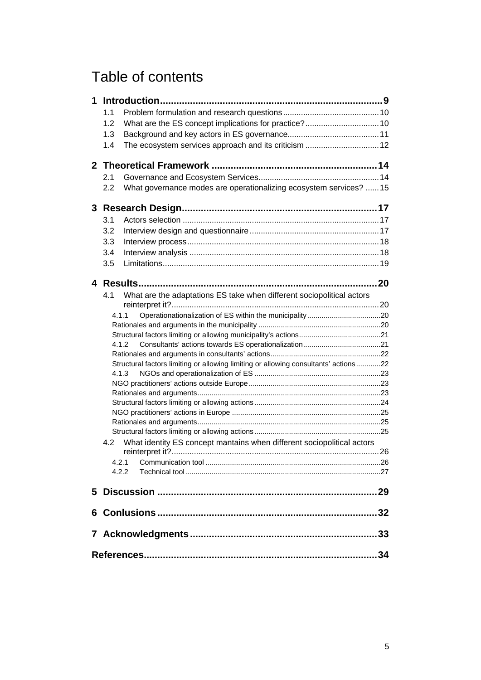# Table of contents

| 1 |       |                                                                                     |  |
|---|-------|-------------------------------------------------------------------------------------|--|
|   | 1.1   |                                                                                     |  |
|   | 1.2   |                                                                                     |  |
|   | 1.3   |                                                                                     |  |
|   | 1.4   |                                                                                     |  |
|   |       |                                                                                     |  |
|   |       |                                                                                     |  |
|   | 2.1   |                                                                                     |  |
|   | 2.2   | What governance modes are operationalizing ecosystem services?  15                  |  |
| 3 |       |                                                                                     |  |
|   | 3.1   |                                                                                     |  |
|   | 3.2   |                                                                                     |  |
|   | 3.3   |                                                                                     |  |
|   | 3.4   |                                                                                     |  |
|   | 3.5   |                                                                                     |  |
|   |       |                                                                                     |  |
| 4 |       |                                                                                     |  |
|   | 4.1   | What are the adaptations ES take when different sociopolitical actors               |  |
|   |       |                                                                                     |  |
|   | 4.1.1 |                                                                                     |  |
|   |       |                                                                                     |  |
|   |       |                                                                                     |  |
|   |       | 4.1.2                                                                               |  |
|   |       |                                                                                     |  |
|   |       | Structural factors limiting or allowing limiting or allowing consultants' actions22 |  |
|   |       | 4.1.3                                                                               |  |
|   |       |                                                                                     |  |
|   |       |                                                                                     |  |
|   |       |                                                                                     |  |
|   |       |                                                                                     |  |
|   |       |                                                                                     |  |
|   | 4.2   | What identity ES concept mantains when different sociopolitical actors              |  |
|   |       |                                                                                     |  |
|   | 4.2.1 |                                                                                     |  |
|   |       | 4.2.2                                                                               |  |
|   |       |                                                                                     |  |
|   |       |                                                                                     |  |
|   |       |                                                                                     |  |
|   |       |                                                                                     |  |
|   |       |                                                                                     |  |
|   | 34    |                                                                                     |  |
|   |       |                                                                                     |  |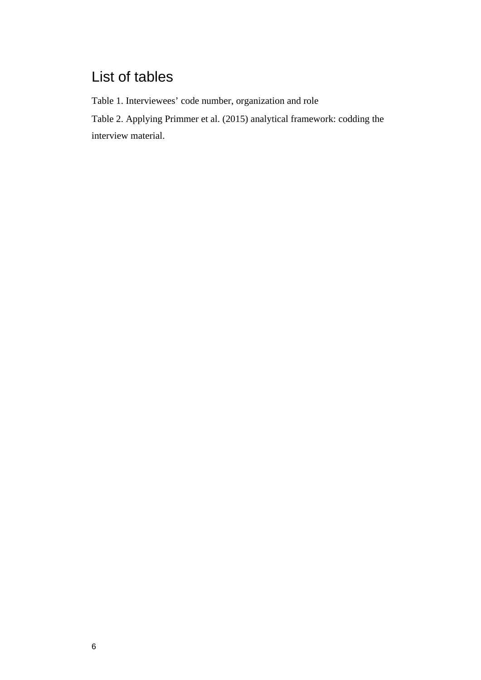# List of tables

Table 1. Interviewees' code number, organization and role

Table 2. Applying Primmer et al. (2015) analytical framework: codding the interview material.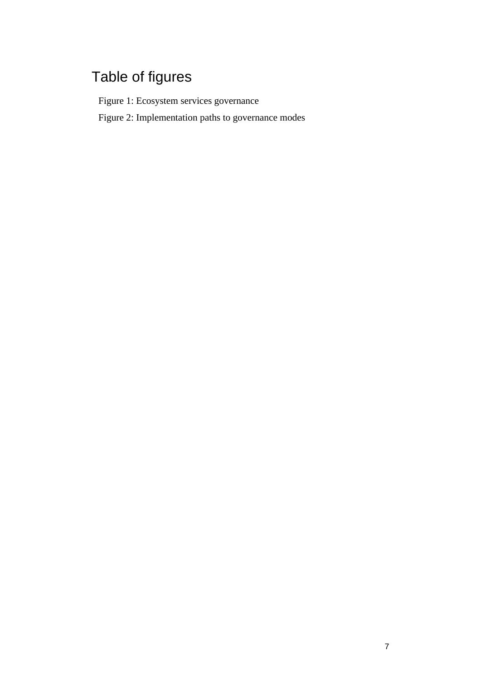# Table of figures

Figure 1: Ecosystem services governance

Figure 2: Implementation paths to governance modes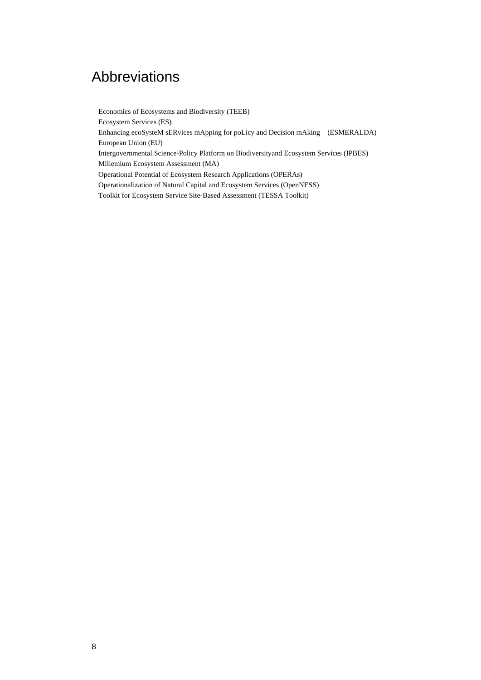## Abbreviations

Economics of Ecosystems and Biodiversity (TEEB) Ecosystem Services (ES) Enhancing ecoSysteM sERvices mApping for poLicy and Decision mAking (ESMERALDA) European Union (EU) Intergovernmental Science-Policy Platform on Biodiversityand Ecosystem Services (IPBES) Millemium Ecosystem Assessment (MA) Operational Potential of Ecosystem Research Applications (OPERAs) Operationalization of Natural Capital and Ecosystem Services (OpenNESS) Toolkit for Ecosystem Service Site-Based Assessment (TESSA Toolkit)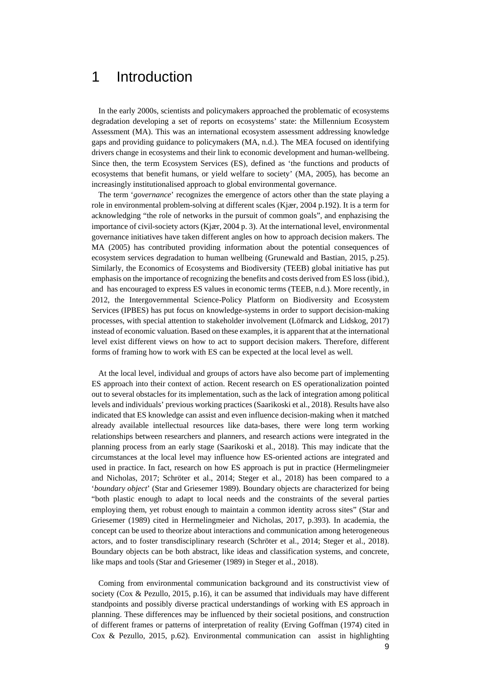## 1 Introduction

In the early 2000s, scientists and policymakers approached the problematic of ecosystems degradation developing a set of reports on ecosystems' state: the Millennium Ecosystem Assessment (MA). This was an international ecosystem assessment addressing knowledge gaps and providing guidance to policymakers (MA, n.d.). The MEA focused on identifying drivers change in ecosystems and their link to economic development and human-wellbeing. Since then, the term Ecosystem Services (ES), defined as 'the functions and products of ecosystems that benefit humans, or yield welfare to society' (MA, 2005), has become an increasingly institutionalised approach to global environmental governance.

The term '*governance*' recognizes the emergence of actors other than the state playing a role in environmental problem-solving at different scales (Kjær, 2004 p.192). It is a term for acknowledging "the role of networks in the pursuit of common goals", and enphazising the importance of civil-society actors (Kjær, 2004 p. 3). At the international level, environmental governance initiatives have taken different angles on how to approach decision makers. The MA (2005) has contributed providing information about the potential consequences of ecosystem services degradation to human wellbeing (Grunewald and Bastian, 2015, p.25). Similarly, the Economics of Ecosystems and Biodiversity (TEEB) global initiative has put emphasis on the importance of recognizing the benefits and costs derived from ES loss (ibid.), and has encouraged to express ES values in economic terms (TEEB, n.d.). More recently, in 2012, the Intergovernmental Science-Policy Platform on Biodiversity and Ecosystem Services (IPBES) has put focus on knowledge-systems in order to support decision-making processes, with special attention to stakeholder involvement (Löfmarck and Lidskog, 2017) instead of economic valuation. Based on these examples, it is apparent that at the international level exist different views on how to act to support decision makers. Therefore, different forms of framing how to work with ES can be expected at the local level as well.

At the local level, individual and groups of actors have also become part of implementing ES approach into their context of action. Recent research on ES operationalization pointed out to several obstacles for its implementation, such as the lack of integration among political levels and individuals' previous working practices (Saarikoski et al., 2018). Results have also indicated that ES knowledge can assist and even influence decision-making when it matched already available intellectual resources like data-bases, there were long term working relationships between researchers and planners, and research actions were integrated in the planning process from an early stage (Saarikoski et al., 2018). This may indicate that the circumstances at the local level may influence how ES-oriented actions are integrated and used in practice. In fact, research on how ES approach is put in practice (Hermelingmeier and Nicholas, 2017; Schröter et al., 2014; Steger et al., 2018) has been compared to a '*boundary object*' (Star and Griesemer 1989). Boundary objects are characterized for being "both plastic enough to adapt to local needs and the constraints of the several parties employing them, yet robust enough to maintain a common identity across sites" (Star and Griesemer (1989) cited in Hermelingmeier and Nicholas, 2017, p.393). In academia, the concept can be used to theorize about interactions and communication among heterogeneous actors, and to foster transdisciplinary research (Schröter et al., 2014; Steger et al., 2018). Boundary objects can be both abstract, like ideas and classification systems, and concrete, like maps and tools (Star and Griesemer (1989) in Steger et al., 2018).

Coming from environmental communication background and its constructivist view of society (Cox & Pezullo, 2015, p.16), it can be assumed that individuals may have different standpoints and possibly diverse practical understandings of working with ES approach in planning. These differences may be influenced by their societal positions, and construction of different frames or patterns of interpretation of reality (Erving Goffman (1974) cited in Cox & Pezullo, 2015, p.62). Environmental communication can assist in highlighting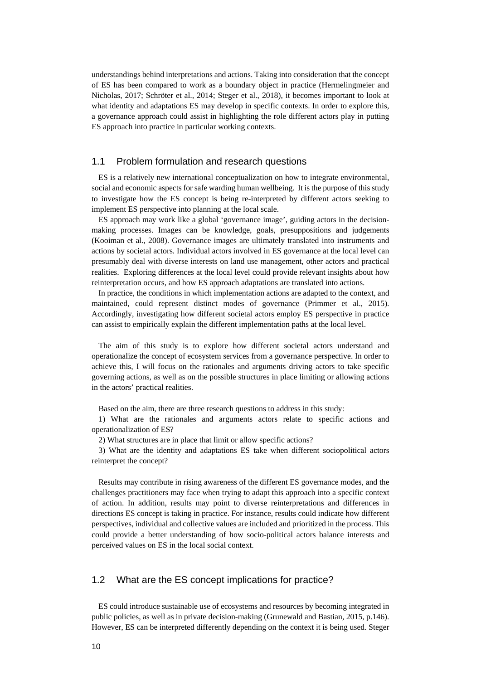understandings behind interpretations and actions. Taking into consideration that the concept of ES has been compared to work as a boundary object in practice (Hermelingmeier and Nicholas, 2017; Schröter et al., 2014; Steger et al., 2018), it becomes important to look at what identity and adaptations ES may develop in specific contexts. In order to explore this, a governance approach could assist in highlighting the role different actors play in putting ES approach into practice in particular working contexts.

### 1.1 Problem formulation and research questions

ES is a relatively new international conceptualization on how to integrate environmental, social and economic aspects for safe warding human wellbeing. It is the purpose of this study to investigate how the ES concept is being re-interpreted by different actors seeking to implement ES perspective into planning at the local scale.

ES approach may work like a global 'governance image', guiding actors in the decisionmaking processes. Images can be knowledge, goals, presuppositions and judgements (Kooiman et al., 2008). Governance images are ultimately translated into instruments and actions by societal actors. Individual actors involved in ES governance at the local level can presumably deal with diverse interests on land use management, other actors and practical realities. Exploring differences at the local level could provide relevant insights about how reinterpretation occurs, and how ES approach adaptations are translated into actions.

In practice, the conditions in which implementation actions are adapted to the context, and maintained, could represent distinct modes of governance (Primmer et al., 2015). Accordingly, investigating how different societal actors employ ES perspective in practice can assist to empirically explain the different implementation paths at the local level.

The aim of this study is to explore how different societal actors understand and operationalize the concept of ecosystem services from a governance perspective. In order to achieve this, I will focus on the rationales and arguments driving actors to take specific governing actions, as well as on the possible structures in place limiting or allowing actions in the actors' practical realities.

Based on the aim, there are three research questions to address in this study:

1) What are the rationales and arguments actors relate to specific actions and operationalization of ES?

2) What structures are in place that limit or allow specific actions?

3) What are the identity and adaptations ES take when different sociopolitical actors reinterpret the concept?

Results may contribute in rising awareness of the different ES governance modes, and the challenges practitioners may face when trying to adapt this approach into a specific context of action. In addition, results may point to diverse reinterpretations and differences in directions ES concept is taking in practice. For instance, results could indicate how different perspectives, individual and collective values are included and prioritized in the process. This could provide a better understanding of how socio-political actors balance interests and perceived values on ES in the local social context.

## 1.2 What are the ES concept implications for practice?

ES could introduce sustainable use of ecosystems and resources by becoming integrated in public policies, as well as in private decision-making (Grunewald and Bastian, 2015, p.146). However, ES can be interpreted differently depending on the context it is being used. Steger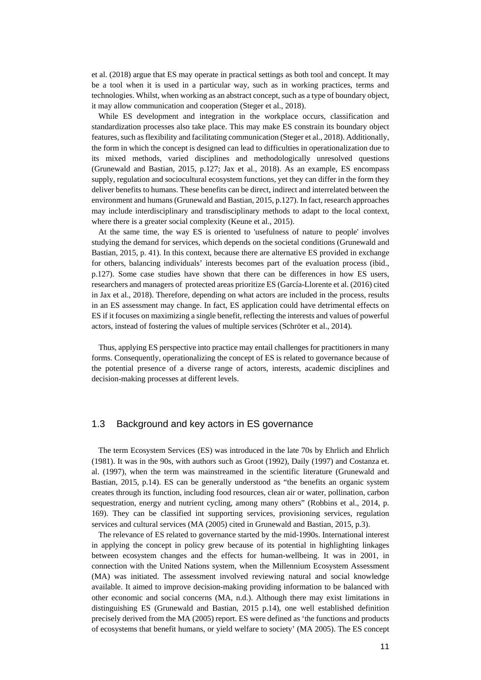et al. (2018) argue that ES may operate in practical settings as both tool and concept. It may be a tool when it is used in a particular way, such as in working practices, terms and technologies. Whilst, when working as an abstract concept, such as a type of boundary object, it may allow communication and cooperation (Steger et al., 2018).

While ES development and integration in the workplace occurs, classification and standardization processes also take place. This may make ES constrain its boundary object features, such as flexibility and facilitating communication (Steger et al., 2018). Additionally, the form in which the concept is designed can lead to difficulties in operationalization due to its mixed methods, varied disciplines and methodologically unresolved questions (Grunewald and Bastian, 2015, p.127; Jax et al., 2018). As an example, ES encompass supply, regulation and sociocultural ecosystem functions, yet they can differ in the form they deliver benefits to humans. These benefits can be direct, indirect and interrelated between the environment and humans (Grunewald and Bastian, 2015, p.127). In fact, research approaches may include interdisciplinary and transdisciplinary methods to adapt to the local context, where there is a greater social complexity (Keune et al., 2015).

At the same time, the way ES is oriented to 'usefulness of nature to people' involves studying the demand for services, which depends on the societal conditions (Grunewald and Bastian, 2015, p. 41). In this context, because there are alternative ES provided in exchange for others, balancing individuals' interests becomes part of the evaluation process (ibid., p.127). Some case studies have shown that there can be differences in how ES users, researchers and managers of protected areas prioritize ES (García-Llorente et al. (2016) cited in Jax et al., 2018). Therefore, depending on what actors are included in the process, results in an ES assessment may change. In fact, ES application could have detrimental effects on ES if it focuses on maximizing a single benefit, reflecting the interests and values of powerful actors, instead of fostering the values of multiple services (Schröter et al., 2014).

Thus, applying ES perspective into practice may entail challenges for practitioners in many forms. Consequently, operationalizing the concept of ES is related to governance because of the potential presence of a diverse range of actors, interests, academic disciplines and decision-making processes at different levels.

### 1.3 Background and key actors in ES governance

The term Ecosystem Services (ES) was introduced in the late 70s by Ehrlich and Ehrlich (1981). It was in the 90s, with authors such as Groot (1992), Daily (1997) and Costanza et. al. (1997), when the term was mainstreamed in the scientific literature (Grunewald and Bastian, 2015, p.14). ES can be generally understood as "the benefits an organic system creates through its function, including food resources, clean air or water, pollination, carbon sequestration, energy and nutrient cycling, among many others" (Robbins et al., 2014, p. 169). They can be classified int supporting services, provisioning services, regulation services and cultural services (MA (2005) cited in Grunewald and Bastian, 2015, p.3).

The relevance of ES related to governance started by the mid-1990s. International interest in applying the concept in policy grew because of its potential in highlighting linkages between ecosystem changes and the effects for human-wellbeing. It was in 2001, in connection with the United Nations system, when the Millennium Ecosystem Assessment (MA) was initiated. The assessment involved reviewing natural and social knowledge available. It aimed to improve decision-making providing information to be balanced with other economic and social concerns (MA, n.d.). Although there may exist limitations in distinguishing ES (Grunewald and Bastian, 2015 p.14), one well established definition precisely derived from the MA (2005) report. ES were defined as 'the functions and products of ecosystems that benefit humans, or yield welfare to society' (MA 2005). The ES concept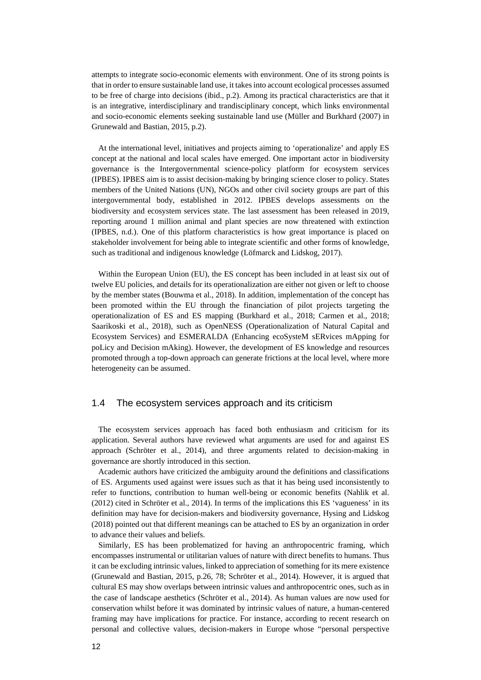attempts to integrate socio-economic elements with environment. One of its strong points is that in order to ensure sustainable land use, it takes into account ecological processes assumed to be free of charge into decisions (ibid., p.2). Among its practical characteristics are that it is an integrative, interdisciplinary and trandisciplinary concept, which links environmental and socio-economic elements seeking sustainable land use (Müller and Burkhard (2007) in Grunewald and Bastian, 2015, p.2).

At the international level, initiatives and projects aiming to 'operationalize' and apply ES concept at the national and local scales have emerged. One important actor in biodiversity governance is the Intergovernmental science-policy platform for ecosystem services (IPBES). IPBES aim is to assist decision-making by bringing science closer to policy. States members of the United Nations (UN), NGOs and other civil society groups are part of this intergovernmental body, established in 2012. IPBES develops assessments on the biodiversity and ecosystem services state. The last assessment has been released in 2019, reporting around 1 million animal and plant species are now threatened with extinction (IPBES, n.d.). One of this platform characteristics is how great importance is placed on stakeholder involvement for being able to integrate scientific and other forms of knowledge, such as traditional and indigenous knowledge (Löfmarck and Lidskog, 2017).

Within the European Union (EU), the ES concept has been included in at least six out of twelve EU policies, and details for its operationalization are either not given or left to choose by the member states (Bouwma et al., 2018). In addition, implementation of the concept has been promoted within the EU through the financiation of pilot projects targeting the operationalization of ES and ES mapping (Burkhard et al., 2018; Carmen et al., 2018; Saarikoski et al., 2018), such as OpenNESS (Operationalization of Natural Capital and Ecosystem Services) and ESMERALDA (Enhancing ecoSysteM sERvices mApping for poLicy and Decision mAking). However, the development of ES knowledge and resources promoted through a top-down approach can generate frictions at the local level, where more heterogeneity can be assumed.

### 1.4 The ecosystem services approach and its criticism

The ecosystem services approach has faced both enthusiasm and criticism for its application. Several authors have reviewed what arguments are used for and against ES approach (Schröter et al., 2014), and three arguments related to decision-making in governance are shortly introduced in this section.

Academic authors have criticized the ambiguity around the definitions and classifications of ES. Arguments used against were issues such as that it has being used inconsistently to refer to functions, contribution to human well-being or economic benefits (Nahlik et al. (2012) cited in Schröter et al., 2014). In terms of the implications this ES 'vagueness' in its definition may have for decision-makers and biodiversity governance, Hysing and Lidskog (2018) pointed out that different meanings can be attached to ES by an organization in order to advance their values and beliefs.

Similarly, ES has been problematized for having an anthropocentric framing, which encompasses instrumental or utilitarian values of nature with direct benefits to humans. Thus it can be excluding intrinsic values, linked to appreciation of something for its mere existence (Grunewald and Bastian, 2015, p.26, 78; Schröter et al., 2014). However, it is argued that cultural ES may show overlaps between intrinsic values and anthropocentric ones, such as in the case of landscape aesthetics (Schröter et al., 2014). As human values are now used for conservation whilst before it was dominated by intrinsic values of nature, a human-centered framing may have implications for practice. For instance, according to recent research on personal and collective values, decision-makers in Europe whose "personal perspective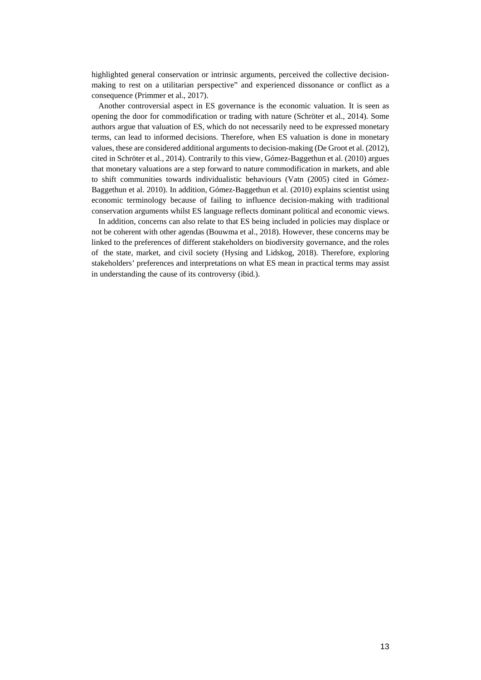highlighted general conservation or intrinsic arguments, perceived the collective decisionmaking to rest on a utilitarian perspective" and experienced dissonance or conflict as a consequence (Primmer et al., 2017).

Another controversial aspect in ES governance is the economic valuation. It is seen as opening the door for commodification or trading with nature (Schröter et al., 2014). Some authors argue that valuation of ES, which do not necessarily need to be expressed monetary terms, can lead to informed decisions. Therefore, when ES valuation is done in monetary values, these are considered additional arguments to decision-making (De Groot et al. (2012), cited in Schröter et al., 2014). Contrarily to this view, Gómez-Baggethun et al. (2010) argues that monetary valuations are a step forward to nature commodification in markets, and able to shift communities towards individualistic behaviours (Vatn (2005) cited in Gómez-Baggethun et al. 2010). In addition, Gómez-Baggethun et al. (2010) explains scientist using economic terminology because of failing to influence decision-making with traditional conservation arguments whilst ES language reflects dominant political and economic views.

In addition, concerns can also relate to that ES being included in policies may displace or not be coherent with other agendas (Bouwma et al., 2018). However, these concerns may be linked to the preferences of different stakeholders on biodiversity governance, and the roles of the state, market, and civil society (Hysing and Lidskog, 2018). Therefore, exploring stakeholders' preferences and interpretations on what ES mean in practical terms may assist in understanding the cause of its controversy (ibid.).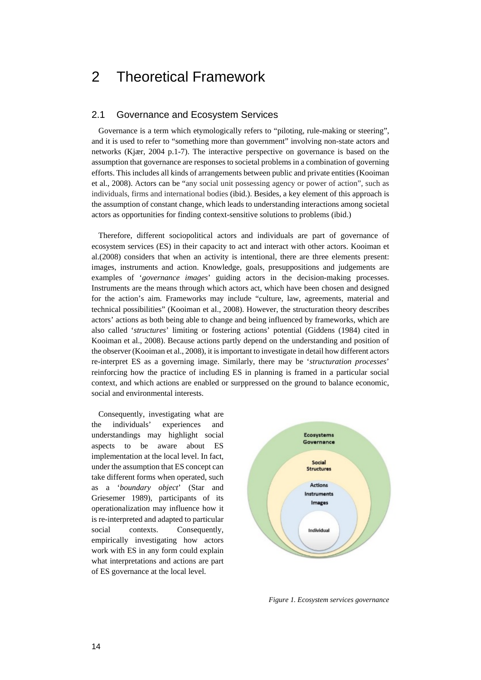## 2 Theoretical Framework

### 2.1 Governance and Ecosystem Services

Governance is a term which etymologically refers to "piloting, rule-making or steering", and it is used to refer to "something more than government" involving non-state actors and networks (Kjær, 2004 p.1-7). The interactive perspective on governance is based on the assumption that governance are responses to societal problems in a combination of governing efforts. This includes all kinds of arrangements between public and private entities (Kooiman et al., 2008). Actors can be "any social unit possessing agency or power of action", such as individuals, firms and international bodies (ibid.). Besides, a key element of this approach is the assumption of constant change, which leads to understanding interactions among societal actors as opportunities for finding context-sensitive solutions to problems (ibid.)

Therefore, different sociopolitical actors and individuals are part of governance of ecosystem services (ES) in their capacity to act and interact with other actors. Kooiman et al.(2008) considers that when an activity is intentional, there are three elements present: images, instruments and action. Knowledge, goals, presuppositions and judgements are examples of '*governance images*' guiding actors in the decision-making processes. Instruments are the means through which actors act, which have been chosen and designed for the action's aim. Frameworks may include "culture, law, agreements, material and technical possibilities" (Kooiman et al., 2008). However, the structuration theory describes actors' actions as both being able to change and being influenced by frameworks, which are also called '*structures*' limiting or fostering actions' potential (Giddens (1984) cited in Kooiman et al., 2008). Because actions partly depend on the understanding and position of the observer (Kooiman et al., 2008), it is important to investigate in detail how different actors re-interpret ES as a governing image. Similarly, there may be '*structuration processes*' reinforcing how the practice of including ES in planning is framed in a particular social context, and which actions are enabled or surppressed on the ground to balance economic, social and environmental interests.

Consequently, investigating what are the individuals' experiences and understandings may highlight social aspects to be aware about ES implementation at the local level. In fact, under the assumption that ES concept can take different forms when operated, such as a '*boundary object*' (Star and Griesemer 1989), participants of its operationalization may influence how it is re-interpreted and adapted to particular social contexts. Consequently, empirically investigating how actors work with ES in any form could explain what interpretations and actions are part of ES governance at the local level.



*Figure 1. Ecosystem services governance*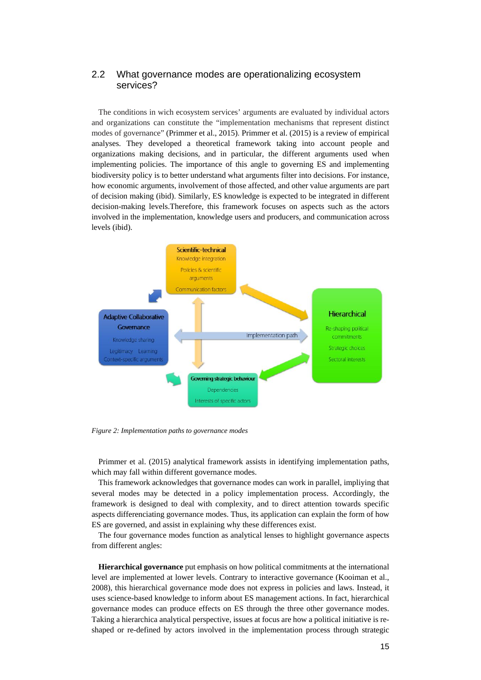## 2.2 What governance modes are operationalizing ecosystem services?

The conditions in wich ecosystem services' arguments are evaluated by individual actors and organizations can constitute the "implementation mechanisms that represent distinct modes of governance" (Primmer et al., 2015). Primmer et al. (2015) is a review of empirical analyses. They developed a theoretical framework taking into account people and organizations making decisions, and in particular, the different arguments used when implementing policies. The importance of this angle to governing ES and implementing biodiversity policy is to better understand what arguments filter into decisions. For instance, how economic arguments, involvement of those affected, and other value arguments are part of decision making (ibid). Similarly, ES knowledge is expected to be integrated in different decision-making levels.Therefore, this framework focuses on aspects such as the actors involved in the implementation, knowledge users and producers, and communication across levels (ibid).



*Figure 2: Implementation paths to governance modes*

Primmer et al. (2015) analytical framework assists in identifying implementation paths, which may fall within different governance modes.

This framework acknowledges that governance modes can work in parallel, impliying that several modes may be detected in a policy implementation process. Accordingly, the framework is designed to deal with complexity, and to direct attention towards specific aspects differenciating governance modes. Thus, its application can explain the form of how ES are governed, and assist in explaining why these differences exist.

The four governance modes function as analytical lenses to highlight governance aspects from different angles:

**Hierarchical governance** put emphasis on how political commitments at the international level are implemented at lower levels. Contrary to interactive governance (Kooiman et al., 2008), this hierarchical governance mode does not express in policies and laws. Instead, it uses science-based knowledge to inform about ES management actions. In fact, hierarchical governance modes can produce effects on ES through the three other governance modes. Taking a hierarchica analytical perspective, issues at focus are how a political initiative is reshaped or re-defined by actors involved in the implementation process through strategic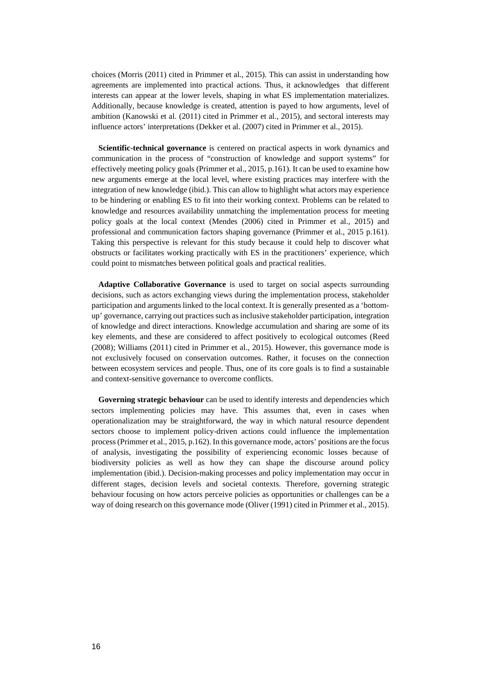choices (Morris (2011) cited in Primmer et al., 2015). This can assist in understanding how agreements are implemented into practical actions. Thus, it acknowledges that different interests can appear at the lower levels, shaping in what ES implementation materializes. Additionally, because knowledge is created, attention is payed to how arguments, level of ambition (Kanowski et al. (2011) cited in Primmer et al., 2015), and sectoral interests may influence actors' interpretations (Dekker et al. (2007) cited in Primmer et al., 2015).

**Scientific-technical governance** is centered on practical aspects in work dynamics and communication in the process of "construction of knowledge and support systems" for effectively meeting policy goals (Primmer et al., 2015, p.161). It can be used to examine how new arguments emerge at the local level, where existing practices may interfere with the integration of new knowledge (ibid.). This can allow to highlight what actors may experience to be hindering or enabling ES to fit into their working context. Problems can be related to knowledge and resources availability unmatching the implementation process for meeting policy goals at the local context (Mendes (2006) cited in Primmer et al., 2015) and professional and communication factors shaping governance (Primmer et al., 2015 p.161). Taking this perspective is relevant for this study because it could help to discover what obstructs or facilitates working practically with ES in the practitioners' experience, which could point to mismatches between political goals and practical realities.

**Adaptive Collaborative Governance** is used to target on social aspects surrounding decisions, such as actors exchanging views during the implementation process, stakeholder participation and arguments linked to the local context. It is generally presented as a 'bottomup' governance, carrying out practices such as inclusive stakeholder participation, integration of knowledge and direct interactions. Knowledge accumulation and sharing are some of its key elements, and these are considered to affect positively to ecological outcomes (Reed (2008); Williams (2011) cited in Primmer et al., 2015). However, this governance mode is not exclusively focused on conservation outcomes. Rather, it focuses on the connection between ecosystem services and people. Thus, one of its core goals is to find a sustainable and context-sensitive governance to overcome conflicts.

**Governing strategic behaviour** can be used to identify interests and dependencies which sectors implementing policies may have. This assumes that, even in cases when operationalization may be straightforward, the way in which natural resource dependent sectors choose to implement policy-driven actions could influence the implementation process (Primmer et al., 2015, p.162). In this governance mode, actors' positions are the focus of analysis, investigating the possibility of experiencing economic losses because of biodiversity policies as well as how they can shape the discourse around policy implementation (ibid.). Decision-making processes and policy implementation may occur in different stages, decision levels and societal contexts. Therefore, governing strategic behaviour focusing on how actors perceive policies as opportunities or challenges can be a way of doing research on this governance mode (Oliver (1991) cited in Primmer et al., 2015).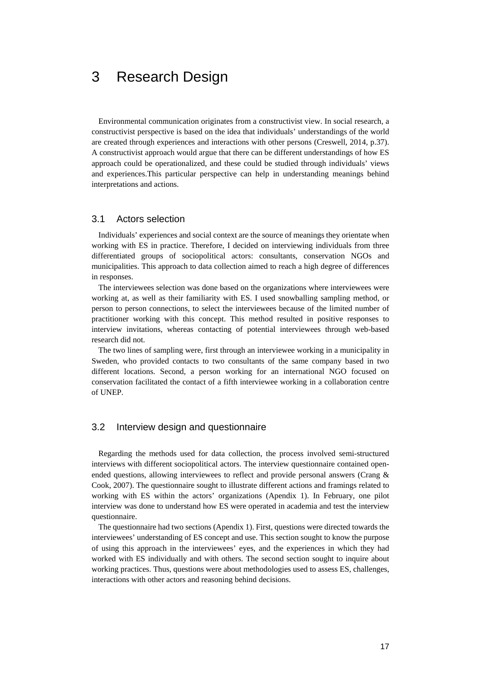## 3 Research Design

Environmental communication originates from a constructivist view. In social research, a constructivist perspective is based on the idea that individuals' understandings of the world are created through experiences and interactions with other persons (Creswell, 2014, p.37). A constructivist approach would argue that there can be different understandings of how ES approach could be operationalized, and these could be studied through individuals' views and experiences.This particular perspective can help in understanding meanings behind interpretations and actions.

### 3.1 Actors selection

Individuals' experiences and social context are the source of meanings they orientate when working with ES in practice. Therefore, I decided on interviewing individuals from three differentiated groups of sociopolitical actors: consultants, conservation NGOs and municipalities. This approach to data collection aimed to reach a high degree of differences in responses.

The interviewees selection was done based on the organizations where interviewees were working at, as well as their familiarity with ES. I used snowballing sampling method, or person to person connections, to select the interviewees because of the limited number of practitioner working with this concept. This method resulted in positive responses to interview invitations, whereas contacting of potential interviewees through web-based research did not.

The two lines of sampling were, first through an interviewee working in a municipality in Sweden, who provided contacts to two consultants of the same company based in two different locations. Second, a person working for an international NGO focused on conservation facilitated the contact of a fifth interviewee working in a collaboration centre of UNEP.

### 3.2 Interview design and questionnaire

Regarding the methods used for data collection, the process involved semi-structured interviews with different sociopolitical actors. The interview questionnaire contained openended questions, allowing interviewees to reflect and provide personal answers (Crang & Cook, 2007). The questionnaire sought to illustrate different actions and framings related to working with ES within the actors' organizations (Apendix 1). In February, one pilot interview was done to understand how ES were operated in academia and test the interview questionnaire.

The questionnaire had two sections (Apendix 1). First, questions were directed towards the interviewees' understanding of ES concept and use. This section sought to know the purpose of using this approach in the interviewees' eyes, and the experiences in which they had worked with ES individually and with others. The second section sought to inquire about working practices. Thus, questions were about methodologies used to assess ES, challenges, interactions with other actors and reasoning behind decisions.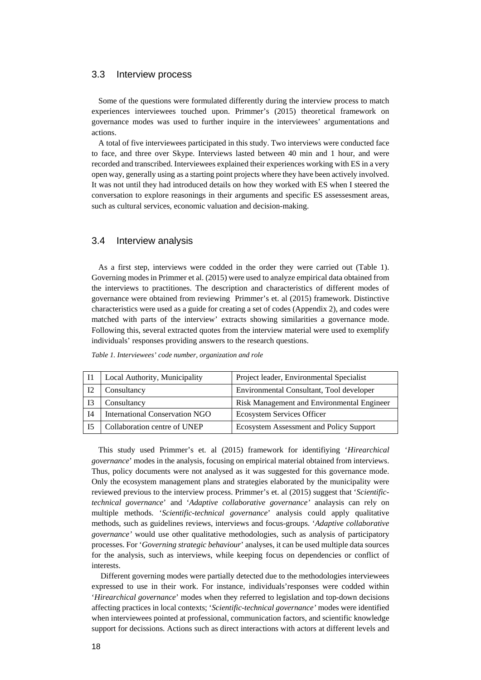#### 3.3 Interview process

Some of the questions were formulated differently during the interview process to match experiences interviewees touched upon. Primmer's (2015) theoretical framework on governance modes was used to further inquire in the interviewees' argumentations and actions.

A total of five interviewees participated in this study. Two interviews were conducted face to face, and three over Skype. Interviews lasted between 40 min and 1 hour, and were recorded and transcribed. Interviewees explained their experiences working with ES in a very open way, generally using as a starting point projects where they have been actively involved. It was not until they had introduced details on how they worked with ES when I steered the conversation to explore reasonings in their arguments and specific ES assessesment areas, such as cultural services, economic valuation and decision-making.

### 3.4 Interview analysis

As a first step, interviews were codded in the order they were carried out (Table 1). Governing modes in Primmer et al. (2015) were used to analyze empirical data obtained from the interviews to practitiones. The description and characteristics of different modes of governance were obtained from reviewing Primmer's et. al (2015) framework. Distinctive characteristics were used as a guide for creating a set of codes (Appendix 2), and codes were matched with parts of the interview' extracts showing similarities a governance mode. Following this, several extracted quotes from the interview material were used to exemplify individuals' responses providing answers to the research questions.

|  |  | Table 1. Interviewees' code number, organization and role |
|--|--|-----------------------------------------------------------|
|--|--|-----------------------------------------------------------|

|                | Local Authority, Municipality         | Project leader, Environmental Specialist       |
|----------------|---------------------------------------|------------------------------------------------|
| I <sub>2</sub> | Consultancy                           | Environmental Consultant, Tool developer       |
| <b>I3</b>      | Consultancy                           | Risk Management and Environmental Engineer     |
| <b>I4</b>      | <b>International Conservation NGO</b> | Ecosystem Services Officer                     |
| I5             | Collaboration centre of UNEP          | <b>Ecosystem Assessment and Policy Support</b> |

This study used Primmer's et. al (2015) framework for identifiying '*Hirearchical governance*' modes in the analysis, focusing on empirical material obtained from interviews. Thus, policy documents were not analysed as it was suggested for this governance mode. Only the ecosystem management plans and strategies elaborated by the municipality were reviewed previous to the interview process. Primmer's et. al (2015) suggest that '*Scientifictechnical governance*' and '*Adaptive collaborative governance'* analaysis can rely on multiple methods. '*Scientific-technical governance*' analysis could apply qualitative methods, such as guidelines reviews, interviews and focus-groups. '*Adaptive collaborative governance'* would use other qualitative methodologies, such as analysis of participatory processes. For '*Governing strategic behaviour*' analyses, it can be used multiple data sources for the analysis, such as interviews, while keeping focus on dependencies or conflict of interests.

Different governing modes were partially detected due to the methodologies interviewees expressed to use in their work. For instance, individuals'responses were codded within '*Hirearchical governance*' modes when they referred to legislation and top-down decisions affecting practices in local contexts; '*Scientific-technical governance'* modes were identified when interviewees pointed at professional, communication factors, and scientific knowledge support for decissions. Actions such as direct interactions with actors at different levels and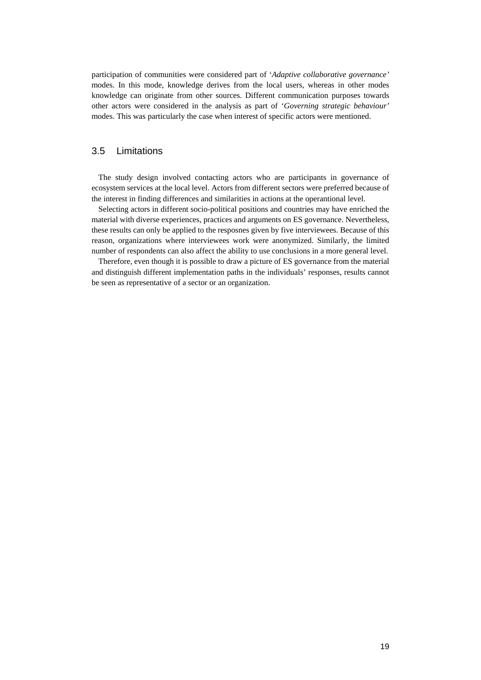participation of communities were considered part of '*Adaptive collaborative governance'* modes. In this mode, knowledge derives from the local users, whereas in other modes knowledge can originate from other sources. Different communication purposes towards other actors were considered in the analysis as part of '*Governing strategic behaviour'* modes. This was particularly the case when interest of specific actors were mentioned.

## 3.5 Limitations

The study design involved contacting actors who are participants in governance of ecosystem services at the local level. Actors from different sectors were preferred because of the interest in finding differences and similarities in actions at the operantional level.

Selecting actors in different socio-political positions and countries may have enriched the material with diverse experiences, practices and arguments on ES governance. Nevertheless, these results can only be applied to the resposnes given by five interviewees. Because of this reason, organizations where interviewees work were anonymized. Similarly, the limited number of respondents can also affect the ability to use conclusions in a more general level.

Therefore, even though it is possible to draw a picture of ES governance from the material and distinguish different implementation paths in the individuals' responses, results cannot be seen as representative of a sector or an organization.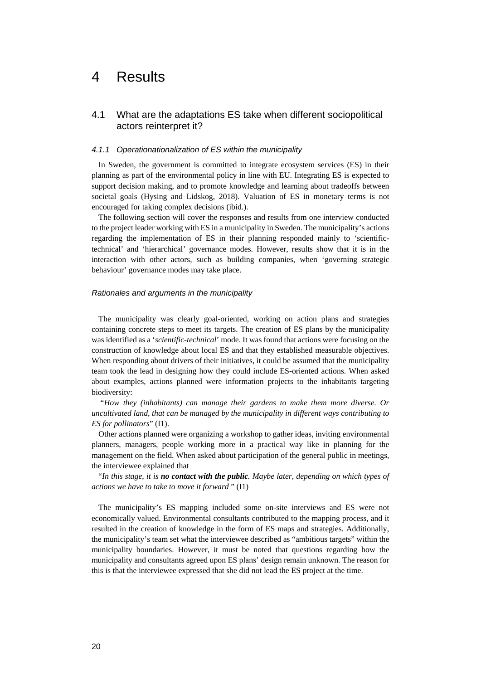## 4 Results

## 4.1 What are the adaptations ES take when different sociopolitical actors reinterpret it?

#### *4.1.1 Operationationalization of ES within the municipality*

In Sweden, the government is committed to integrate ecosystem services (ES) in their planning as part of the environmental policy in line with EU. Integrating ES is expected to support decision making, and to promote knowledge and learning about tradeoffs between societal goals (Hysing and Lidskog, 2018). Valuation of ES in monetary terms is not encouraged for taking complex decisions (ibid.).

The following section will cover the responses and results from one interview conducted to the project leader working with ES in a municipality in Sweden. The municipality's actions regarding the implementation of ES in their planning responded mainly to 'scientifictechnical' and 'hierarchical' governance modes. However, results show that it is in the interaction with other actors, such as building companies, when 'governing strategic behaviour' governance modes may take place.

#### *Rationales and arguments in the municipality*

The municipality was clearly goal-oriented, working on action plans and strategies containing concrete steps to meet its targets. The creation of ES plans by the municipality was identified as a '*scientific-technical*' mode. It was found that actions were focusing on the construction of knowledge about local ES and that they established measurable objectives. When responding about drivers of their initiatives, it could be assumed that the municipality team took the lead in designing how they could include ES-oriented actions. When asked about examples, actions planned were information projects to the inhabitants targeting biodiversity:

"*How they (inhabitants) can manage their gardens to make them more diverse. Or uncultivated land, that can be managed by the municipality in different ways contributing to ES for pollinators*" (I1).

Other actions planned were organizing a workshop to gather ideas, inviting environmental planners, managers, people working more in a practical way like in planning for the management on the field. When asked about participation of the general public in meetings, the interviewee explained that

"*In this stage, it is no contact with the public. Maybe later, depending on which types of actions we have to take to move it forward* " (I1)

The municipality's ES mapping included some on-site interviews and ES were not economically valued. Environmental consultants contributed to the mapping process, and it resulted in the creation of knowledge in the form of ES maps and strategies. Additionally, the municipality's team set what the interviewee described as "ambitious targets" within the municipality boundaries. However, it must be noted that questions regarding how the municipality and consultants agreed upon ES plans' design remain unknown. The reason for this is that the interviewee expressed that she did not lead the ES project at the time.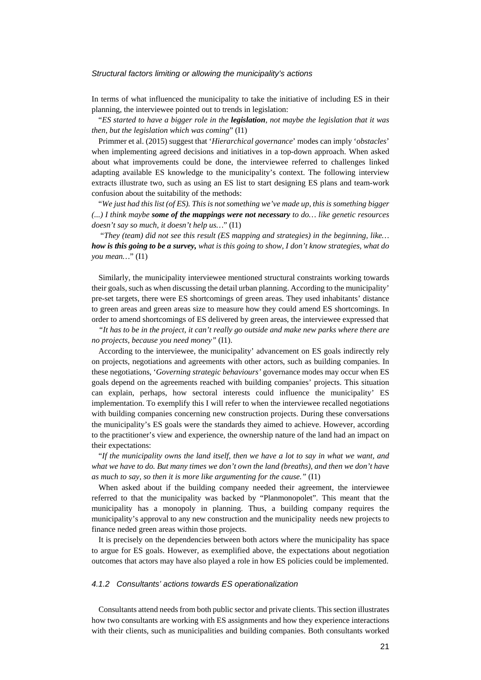#### *Structural factors limiting or allowing the municipality's actions*

In terms of what influenced the municipality to take the initiative of including ES in their planning, the interviewee pointed out to trends in legislation:

"*ES started to have a bigger role in the legislation, not maybe the legislation that it was then, but the legislation which was coming*" (I1)

Primmer et al. (2015) suggest that '*Hierarchical governance*' modes can imply '*obstacles*' when implementing agreed decisions and initiatives in a top-down approach. When asked about what improvements could be done, the interviewee referred to challenges linked adapting available ES knowledge to the municipality's context. The following interview extracts illustrate two, such as using an ES list to start designing ES plans and team-work confusion about the suitability of the methods:

"*We just had this list (of ES). This is not something we've made up, this is something bigger (...) I think maybe some of the mappings were not necessary to do… like genetic resources doesn't say so much, it doesn't help us…*" (I1)

"*They (team) did not see this result (ES mapping and strategies) in the beginning, like… how is this going to be a survey, what is this going to show, I don't know strategies, what do you mean…*" (I1)

Similarly, the municipality interviewee mentioned structural constraints working towards their goals, such as when discussing the detail urban planning. According to the municipality' pre-set targets, there were ES shortcomings of green areas. They used inhabitants' distance to green areas and green areas size to measure how they could amend ES shortcomings. In order to amend shortcomings of ES delivered by green areas, the interviewee expressed that

*"It has to be in the project, it can't really go outside and make new parks where there are no projects, because you need money"* (I1).

According to the interviewee, the municipality' advancement on ES goals indirectly rely on projects, negotiations and agreements with other actors, such as building companies. In these negotiations, '*Governing strategic behaviours'* governance modes may occur when ES goals depend on the agreements reached with building companies' projects. This situation can explain, perhaps, how sectoral interests could influence the municipality' ES implementation. To exemplify this I will refer to when the interviewee recalled negotiations with building companies concerning new construction projects. During these conversations the municipality's ES goals were the standards they aimed to achieve. However, according to the practitioner's view and experience, the ownership nature of the land had an impact on their expectations:

"*If the municipality owns the land itself, then we have a lot to say in what we want, and what we have to do. But many times we don't own the land (breaths), and then we don't have as much to say, so then it is more like argumenting for the cause."* (I1)

When asked about if the building company needed their agreement, the interviewee referred to that the municipality was backed by "Planmonopolet". This meant that the municipality has a monopoly in planning. Thus, a building company requires the municipality's approval to any new construction and the municipality needs new projects to finance neded green areas within those projects.

It is precisely on the dependencies between both actors where the municipality has space to argue for ES goals. However, as exemplified above, the expectations about negotiation outcomes that actors may have also played a role in how ES policies could be implemented.

#### *4.1.2 Consultants' actions towards ES operationalization*

Consultants attend needs from both public sector and private clients. This section illustrates how two consultants are working with ES assignments and how they experience interactions with their clients, such as municipalities and building companies. Both consultants worked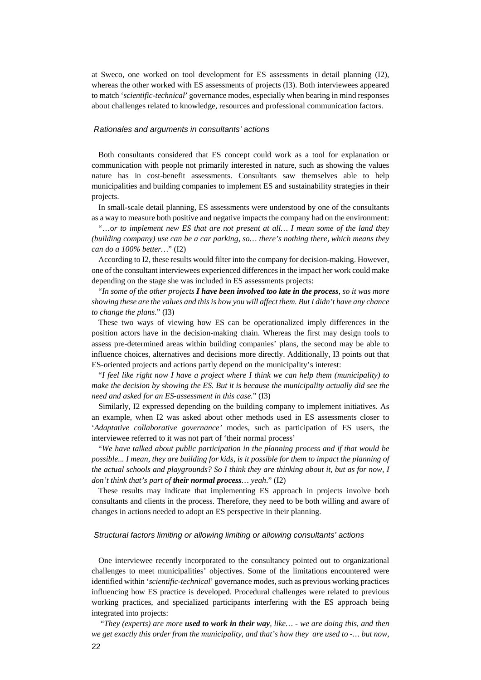at Sweco, one worked on tool development for ES assessments in detail planning (I2), whereas the other worked with ES assessments of projects (I3). Both interviewees appeared to match '*scientific-technical*' governance modes, especially when bearing in mind responses about challenges related to knowledge, resources and professional communication factors.

#### *Rationales and arguments in consultants' actions*

Both consultants considered that ES concept could work as a tool for explanation or communication with people not primarily interested in nature, such as showing the values nature has in cost-benefit assessments. Consultants saw themselves able to help municipalities and building companies to implement ES and sustainability strategies in their projects.

In small-scale detail planning, ES assessments were understood by one of the consultants as a way to measure both positive and negative impacts the company had on the environment:

"…o*r to implement new ES that are not present at all… I mean some of the land they (building company) use can be a car parking, so… there's nothing there, which means they can do a 100% better…*" (I2)

According to I2, these results would filter into the company for decision-making. However, one of the consultant interviewees experienced differences in the impact her work could make depending on the stage she was included in ES assessments projects:

"*In some of the other projects I have been involved too late in the process, so it was more showing these are the values and thisis how you will affect them. But I didn't have any chance to change the plans*." (I3)

These two ways of viewing how ES can be operationalized imply differences in the position actors have in the decision-making chain. Whereas the first may design tools to assess pre-determined areas within building companies' plans, the second may be able to influence choices, alternatives and decisions more directly. Additionally, I3 points out that ES-oriented projects and actions partly depend on the municipality's interest:

"*I feel like right now I have a project where I think we can help them (municipality) to make the decision by showing the ES. But it is because the municipality actually did see the need and asked for an ES-assessment in this case.*" (I3)

Similarly, I2 expressed depending on the building company to implement initiatives. As an example, when I2 was asked about other methods used in ES assessments closer to '*Adaptative collaborative governance'* modes, such as participation of ES users, the interviewee referred to it was not part of 'their normal process'

"*We have talked about public participation in the planning process and if that would be possible... I mean, they are building for kids, is it possible for them to impact the planning of the actual schools and playgrounds? So I think they are thinking about it, but as for now, I don't think that's part of their normal process… yeah*." (I2)

These results may indicate that implementing ES approach in projects involve both consultants and clients in the process. Therefore, they need to be both willing and aware of changes in actions needed to adopt an ES perspective in their planning.

#### *Structural factors limiting or allowing limiting or allowing consultants' actions*

One interviewee recently incorporated to the consultancy pointed out to organizational challenges to meet municipalities' objectives. Some of the limitations encountered were identified within '*scientific-technical*' governance modes, such as previous working practices influencing how ES practice is developed. Procedural challenges were related to previous working practices, and specialized participants interfering with the ES approach being integrated into projects:

"*They (experts) are more used to work in their way, like… - we are doing this, and then we get exactly this order from the municipality, and that's how they are used to -… but now,*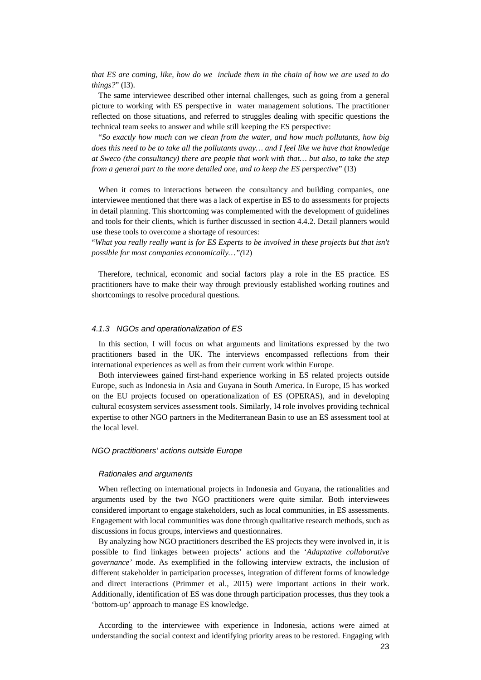*that ES are coming, like, how do we include them in the chain of how we are used to do things?*" (I3).

The same interviewee described other internal challenges, such as going from a general picture to working with ES perspective in water management solutions. The practitioner reflected on those situations, and referred to struggles dealing with specific questions the technical team seeks to answer and while still keeping the ES perspective:

"*So exactly how much can we clean from the water, and how much pollutants, how big does this need to be to take all the pollutants away… and I feel like we have that knowledge at Sweco (the consultancy) there are people that work with that… but also, to take the step from a general part to the more detailed one, and to keep the ES perspective*" (I3)

When it comes to interactions between the consultancy and building companies, one interviewee mentioned that there was a lack of expertise in ES to do assessments for projects in detail planning. This shortcoming was complemented with the development of guidelines and tools for their clients, which is further discussed in section 4.4.2. Detail planners would use these tools to overcome a shortage of resources:

"*What you really really want is for ES Experts to be involved in these projects but that isn't possible for most companies economically…"(*I2)

Therefore, technical, economic and social factors play a role in the ES practice. ES practitioners have to make their way through previously established working routines and shortcomings to resolve procedural questions.

#### *4.1.3 NGOs and operationalization of ES*

In this section, I will focus on what arguments and limitations expressed by the two practitioners based in the UK. The interviews encompassed reflections from their international experiences as well as from their current work within Europe.

Both interviewees gained first-hand experience working in ES related projects outside Europe, such as Indonesia in Asia and Guyana in South America. In Europe, I5 has worked on the EU projects focused on operationalization of ES (OPERAS), and in developing cultural ecosystem services assessment tools. Similarly, I4 role involves providing technical expertise to other NGO partners in the Mediterranean Basin to use an ES assessment tool at the local level.

#### *NGO practitioners' actions outside Europe*

#### *Rationales and arguments*

When reflecting on international projects in Indonesia and Guyana, the rationalities and arguments used by the two NGO practitioners were quite similar. Both interviewees considered important to engage stakeholders, such as local communities, in ES assessments. Engagement with local communities was done through qualitative research methods, such as discussions in focus groups, interviews and questionnaires.

By analyzing how NGO practitioners described the ES projects they were involved in, it is possible to find linkages between projects' actions and the '*Adaptative collaborative governance'* mode. As exemplified in the following interview extracts, the inclusion of different stakeholder in participation processes, integration of different forms of knowledge and direct interactions (Primmer et al., 2015) were important actions in their work. Additionally, identification of ES was done through participation processes, thus they took a 'bottom-up' approach to manage ES knowledge.

According to the interviewee with experience in Indonesia, actions were aimed at understanding the social context and identifying priority areas to be restored. Engaging with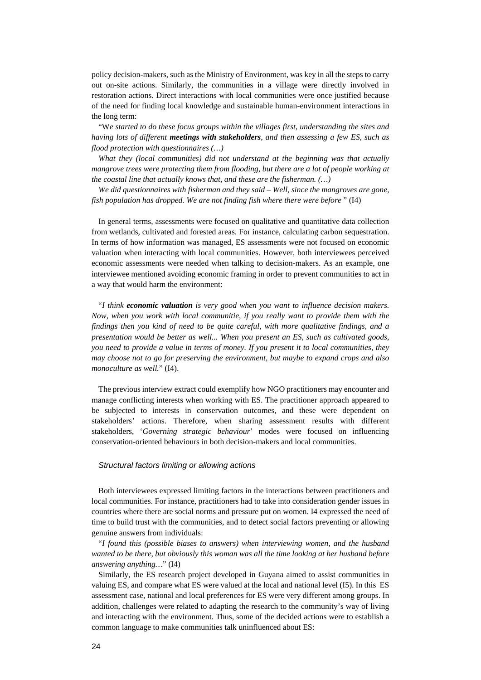policy decision-makers, such as the Ministry of Environment, was key in all the steps to carry out on-site actions. Similarly, the communities in a village were directly involved in restoration actions. Direct interactions with local communities were once justified because of the need for finding local knowledge and sustainable human-environment interactions in the long term:

"W*e started to do these focus groups within the villages first, understanding the sites and having lots of different meetings with stakeholders, and then assessing a few ES, such as flood protection with questionnaires (…)* 

*What they (local communities) did not understand at the beginning was that actually mangrove trees were protecting them from flooding, but there are a lot of people working at the coastal line that actually knows that, and these are the fisherman. (…)*

*We did questionnaires with fisherman and they said – Well, since the mangroves are gone, fish population has dropped. We are not finding fish where there were before* " (I4)

In general terms, assessments were focused on qualitative and quantitative data collection from wetlands, cultivated and forested areas. For instance, calculating carbon sequestration. In terms of how information was managed, ES assessments were not focused on economic valuation when interacting with local communities. However, both interviewees perceived economic assessments were needed when talking to decision-makers. As an example, one interviewee mentioned avoiding economic framing in order to prevent communities to act in a way that would harm the environment:

"*I think economic valuation is very good when you want to influence decision makers. Now, when you work with local communitie, if you really want to provide them with the findings then you kind of need to be quite careful, with more qualitative findings, and a presentation would be better as well... When you present an ES, such as cultivated goods, you need to provide a value in terms of money. If you present it to local communities, they may choose not to go for preserving the environment, but maybe to expand crops and also monoculture as well.*" (I4).

The previous interview extract could exemplify how NGO practitioners may encounter and manage conflicting interests when working with ES. The practitioner approach appeared to be subjected to interests in conservation outcomes, and these were dependent on stakeholders' actions. Therefore, when sharing assessment results with different stakeholders, '*Governing strategic behaviour*' modes were focused on influencing conservation-oriented behaviours in both decision-makers and local communities.

### *Structural factors limiting or allowing actions*

Both interviewees expressed limiting factors in the interactions between practitioners and local communities. For instance, practitioners had to take into consideration gender issues in countries where there are social norms and pressure put on women. I4 expressed the need of time to build trust with the communities, and to detect social factors preventing or allowing genuine answers from individuals:

"*I found this (possible biases to answers) when interviewing women, and the husband wanted to be there, but obviously this woman was all the time looking at her husband before answering anything…*" (I4)

Similarly, the ES research project developed in Guyana aimed to assist communities in valuing ES, and compare what ES were valued at the local and national level (I5). In this ES assessment case, national and local preferences for ES were very different among groups. In addition, challenges were related to adapting the research to the community's way of living and interacting with the environment. Thus, some of the decided actions were to establish a common language to make communities talk uninfluenced about ES: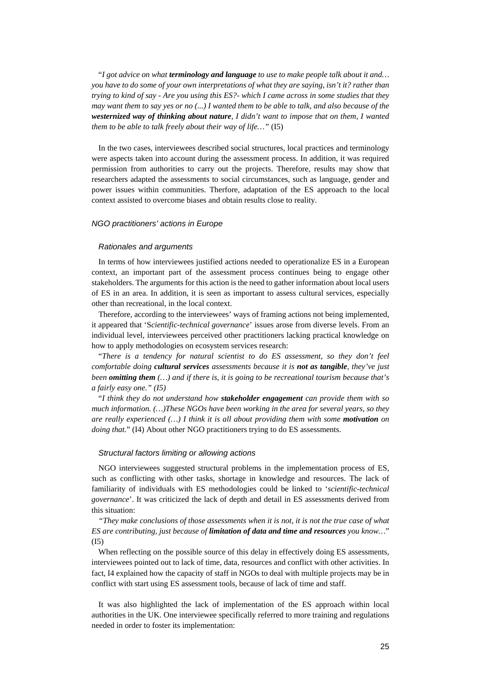"*I got advice on what terminology and language to use to make people talk about it and… you have to do some of your own interpretations of what they are saying, isn't it? rather than trying to kind of say - Are you using this ES?- which I came across in some studies that they may want them to say yes or no (...) I wanted them to be able to talk, and also because of the westernized way of thinking about nature, I didn't want to impose that on them, I wanted them to be able to talk freely about their way of life…"* (I5)

In the two cases, interviewees described social structures, local practices and terminology were aspects taken into account during the assessment process. In addition, it was required permission from authorities to carry out the projects. Therefore, results may show that researchers adapted the assessments to social circumstances, such as language, gender and power issues within communities. Therfore, adaptation of the ES approach to the local context assisted to overcome biases and obtain results close to reality.

#### *NGO practitioners' actions in Europe*

#### *Rationales and arguments*

In terms of how interviewees justified actions needed to operationalize ES in a European context, an important part of the assessment process continues being to engage other stakeholders. The arguments for this action is the need to gather information about local users of ES in an area. In addition, it is seen as important to assess cultural services, especially other than recreational, in the local context.

Therefore, according to the interviewees' ways of framing actions not being implemented, it appeared that 'S*cientific-technical governance*' issues arose from diverse levels. From an individual level, interviewees perceived other practitioners lacking practical knowledge on how to apply methodologies on ecosystem services research:

"*There is a tendency for natural scientist to do ES assessment, so they don't feel comfortable doing cultural services assessments because it is not as tangible, they've just been omitting them (…) and if there is, it is going to be recreational tourism because that's a fairly easy one." (I5)*

"*I think they do not understand how stakeholder engagement can provide them with so much information. (…)These NGOs have been working in the area for several years, so they are really experienced (…) I think it is all about providing them with some motivation on doing that.*" (I4) About other NGO practitioners trying to do ES assessments.

#### *Structural factors limiting or allowing actions*

NGO interviewees suggested structural problems in the implementation process of ES, such as conflicting with other tasks, shortage in knowledge and resources. The lack of familiarity of individuals with ES methodologies could be linked to '*scientific-technical governance*'. It was criticized the lack of depth and detail in ES assessments derived from this situation:

*"They make conclusions of those assessments when it is not, it is not the true case of what ES are contributing, just because of limitation of data and time and resources you know…*" (I5)

When reflecting on the possible source of this delay in effectively doing ES assessments, interviewees pointed out to lack of time, data, resources and conflict with other activities. In fact, I4 explained how the capacity of staff in NGOs to deal with multiple projects may be in conflict with start using ES assessment tools, because of lack of time and staff.

It was also highlighted the lack of implementation of the ES approach within local authorities in the UK. One interviewee specifically referred to more training and regulations needed in order to foster its implementation: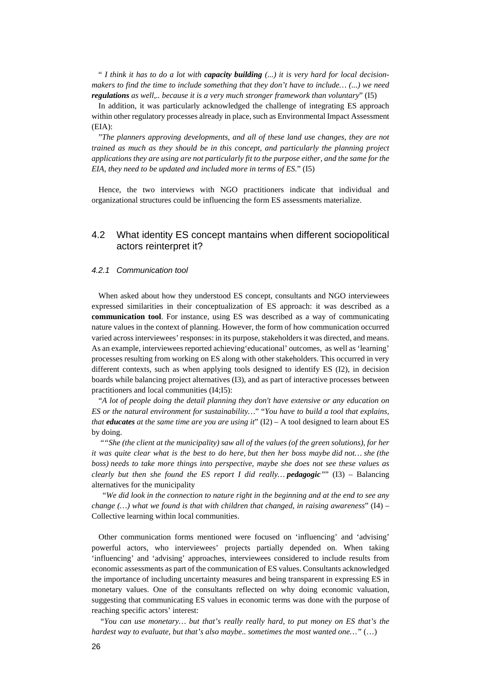" *I think it has to do a lot with capacity building (...) it is very hard for local decisionmakers to find the time to include something that they don't have to include… (...) we need regulations as well,.. because it is a very much stronger framework than voluntary*" (I5)

In addition, it was particularly acknowledged the challenge of integrating ES approach within other regulatory processes already in place, such as Environmental Impact Assessment (EIA):

"*The planners approving developments, and all of these land use changes, they are not trained as much as they should be in this concept, and particularly the planning project applications they are using are not particularly fit to the purpose either, and the same for the EIA, they need to be updated and included more in terms of ES.*" (I5)

Hence, the two interviews with NGO practitioners indicate that individual and organizational structures could be influencing the form ES assessments materialize.

## 4.2 What identity ES concept mantains when different sociopolitical actors reinterpret it?

#### *4.2.1 Communication tool*

When asked about how they understood ES concept, consultants and NGO interviewees expressed similarities in their conceptualization of ES approach: it was described as a **communication tool**. For instance, using ES was described as a way of communicating nature values in the context of planning. However, the form of how communication occurred varied across interviewees' responses: in its purpose, stakeholdersit was directed, and means. As an example, interviewees reported achieving'educational' outcomes, as well as 'learning' processes resulting from working on ES along with other stakeholders. This occurred in very different contexts, such as when applying tools designed to identify ES (I2), in decision boards while balancing project alternatives (I3), and as part of interactive processes between practitioners and local communities (I4;I5):

"*A lot of people doing the detail planning they don't have extensive or any education on ES or the natural environment for sustainability…*" "*You have to build a tool that explains, that educates at the same time are you are using it*" (I2) – A tool designed to learn about ES by doing.

"*"She (the client at the municipality) saw all of the values (of the green solutions), for her it was quite clear what is the best to do here, but then her boss maybe did not… she (the boss) needs to take more things into perspective, maybe she does not see these values as clearly but then she found the ES report I did really… pedagogic"*" (I3) – Balancing alternatives for the municipality

"*We did look in the connection to nature right in the beginning and at the end to see any change (…) what we found is that with children that changed, in raising awareness*" (I4) – Collective learning within local communities.

Other communication forms mentioned were focused on 'influencing' and 'advising' powerful actors, who interviewees' projects partially depended on. When taking 'influencing' and 'advising' approaches, interviewees considered to include results from economic assessments as part of the communication of ES values. Consultants acknowledged the importance of including uncertainty measures and being transparent in expressing ES in monetary values. One of the consultants reflected on why doing economic valuation, suggesting that communicating ES values in economic terms was done with the purpose of reaching specific actors' interest:

"*You can use monetary… but that's really really hard, to put money on ES that's the hardest way to evaluate, but that's also maybe.. sometimes the most wanted one…"* (…)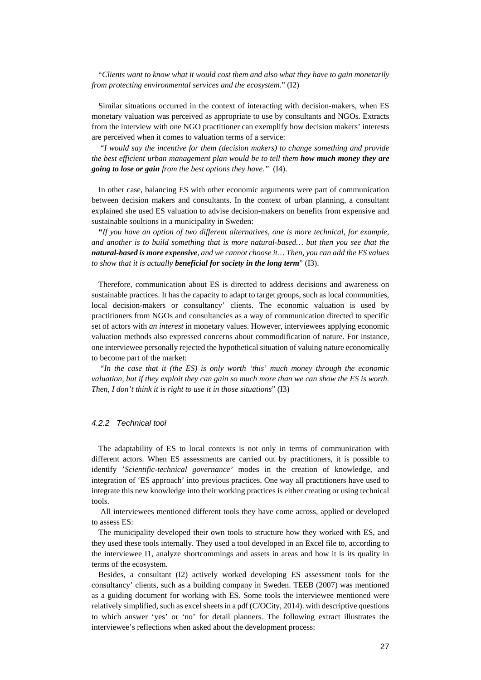"*Clients want to know what it would cost them and also what they have to gain monetarily from protecting environmental services and the ecosystem*." (I2)

Similar situations occurred in the context of interacting with decision-makers, when ES monetary valuation was perceived as appropriate to use by consultants and NGOs. Extracts from the interview with one NGO practitioner can exemplify how decision makers' interests are perceived when it comes to valuation terms of a service:

"*I would say the incentive for them (decision makers) to change something and provide the best efficient urban management plan would be to tell them how much money they are going to lose or gain from the best options they have."* (I4).

In other case, balancing ES with other economic arguments were part of communication between decision makers and consultants. In the context of urban planning, a consultant explained she used ES valuation to advise decision-makers on benefits from expensive and sustainable soultions in a municipality in Sweden:

**"***If you have an option of two different alternatives, one is more technical*, *for example, and another is to build something that is more natural-based… but then you see that the natural-based is more expensive, and we cannot choose it… Then, you can add the ES values to show that it is actually beneficial for society in the long term*" (I3).

Therefore, communication about ES is directed to address decisions and awareness on sustainable practices. It has the capacity to adapt to target groups, such as local communities, local decision-makers or consultancy' clients. The economic valuation is used by practitioners from NGOs and consultancies as a way of communication directed to specific set of actors with *an interest* in monetary values. However, interviewees applying economic valuation methods also expressed concerns about commodification of nature. For instance, one interviewee personally rejected the hypothetical situation of valuing nature economically to become part of the market:

"*In the case that it (the ES) is only worth 'this' much money through the economic valuation, but if they exploit they can gain so much more than we can show the ES is worth. Then, I don't think it is right to use it in those situations*" (I3)

### *4.2.2 Technical tool*

The adaptability of ES to local contexts is not only in terms of communication with different actors. When ES assessments are carried out by practitioners, it is possible to identify '*Scientific-technical governance'* modes in the creation of knowledge, and integration of 'ES approach' into previous practices. One way all practitioners have used to integrate this new knowledge into their working practices is either creating or using technical tools.

All interviewees mentioned different tools they have come across, applied or developed to assess ES:

The municipality developed their own tools to structure how they worked with ES, and they used these tools internally. They used a tool developed in an Excel file to, according to the interviewee I1, analyze shortcommings and assets in areas and how it is its quality in terms of the ecosystem.

Besides, a consultant (I2) actively worked developing ES assessment tools for the consultancy' clients, such as a building company in Sweden. TEEB (2007) was mentioned as a guiding document for working with ES. Some tools the interviewee mentioned were relatively simplified, such as excel sheets in a pdf (C/OCity, 2014). with descriptive questions to which answer 'yes' or 'no' for detail planners. The following extract illustrates the interviewee's reflections when asked about the development process: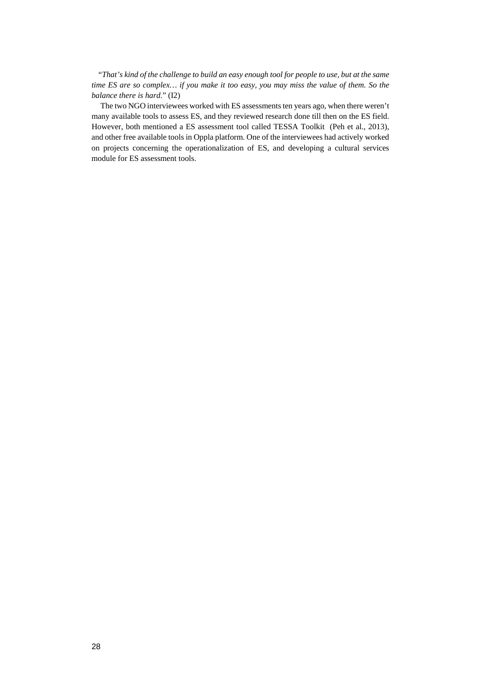"*That's kind of the challenge to build an easy enough tool for people to use, but at the same time ES are so complex… if you make it too easy, you may miss the value of them. So the balance there is hard.*" (I2)

The two NGO interviewees worked with ES assessments ten years ago, when there weren't many available tools to assess ES, and they reviewed research done till then on the ES field. However, both mentioned a ES assessment tool called TESSA Toolkit (Peh et al., 2013), and other free available tools in Oppla platform. One of the interviewees had actively worked on projects concerning the operationalization of ES, and developing a cultural services module for ES assessment tools.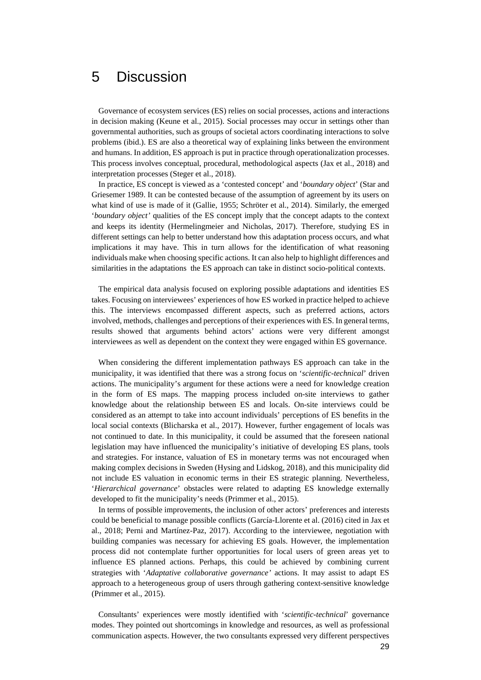## 5 Discussion

Governance of ecosystem services (ES) relies on social processes, actions and interactions in decision making (Keune et al., 2015). Social processes may occur in settings other than governmental authorities, such as groups of societal actors coordinating interactions to solve problems (ibid.). ES are also a theoretical way of explaining links between the environment and humans. In addition, ES approach is put in practice through operationalization processes. This process involves conceptual, procedural, methodological aspects (Jax et al., 2018) and interpretation processes (Steger et al., 2018).

In practice, ES concept is viewed as a 'contested concept' and '*boundary object*' (Star and Griesemer 1989. It can be contested because of the assumption of agreement by its users on what kind of use is made of it (Gallie, 1955; Schröter et al., 2014). Similarly, the emerged '*boundary object'* qualities of the ES concept imply that the concept adapts to the context and keeps its identity (Hermelingmeier and Nicholas, 2017). Therefore, studying ES in different settings can help to better understand how this adaptation process occurs, and what implications it may have. This in turn allows for the identification of what reasoning individuals make when choosing specific actions. It can also help to highlight differences and similarities in the adaptations the ES approach can take in distinct socio-political contexts.

The empirical data analysis focused on exploring possible adaptations and identities ES takes. Focusing on interviewees' experiences of how ES worked in practice helped to achieve this. The interviews encompassed different aspects, such as preferred actions, actors involved, methods, challenges and perceptions of their experiences with ES. In general terms, results showed that arguments behind actors' actions were very different amongst interviewees as well as dependent on the context they were engaged within ES governance.

When considering the different implementation pathways ES approach can take in the municipality, it was identified that there was a strong focus on '*scientific-technical*' driven actions. The municipality's argument for these actions were a need for knowledge creation in the form of ES maps. The mapping process included on-site interviews to gather knowledge about the relationship between ES and locals. On-site interviews could be considered as an attempt to take into account individuals' perceptions of ES benefits in the local social contexts (Blicharska et al., 2017). However, further engagement of locals was not continued to date. In this municipality, it could be assumed that the foreseen national legislation may have influenced the municipality's initiative of developing ES plans, tools and strategies. For instance, valuation of ES in monetary terms was not encouraged when making complex decisions in Sweden (Hysing and Lidskog, 2018), and this municipality did not include ES valuation in economic terms in their ES strategic planning. Nevertheless, '*Hierarchical governance*' obstacles were related to adapting ES knowledge externally developed to fit the municipality's needs (Primmer et al., 2015).

In terms of possible improvements, the inclusion of other actors' preferences and interests could be beneficial to manage possible conflicts (García-Llorente et al. (2016) cited in Jax et al., 2018; Perni and Martínez-Paz, 2017). According to the interviewee, negotiation with building companies was necessary for achieving ES goals. However, the implementation process did not contemplate further opportunities for local users of green areas yet to influence ES planned actions. Perhaps, this could be achieved by combining current strategies with '*Adaptative collaborative governance'* actions. It may assist to adapt ES approach to a heterogeneous group of users through gathering context-sensitive knowledge (Primmer et al., 2015).

Consultants' experiences were mostly identified with '*scientific-technical*' governance modes. They pointed out shortcomings in knowledge and resources, as well as professional communication aspects. However, the two consultants expressed very different perspectives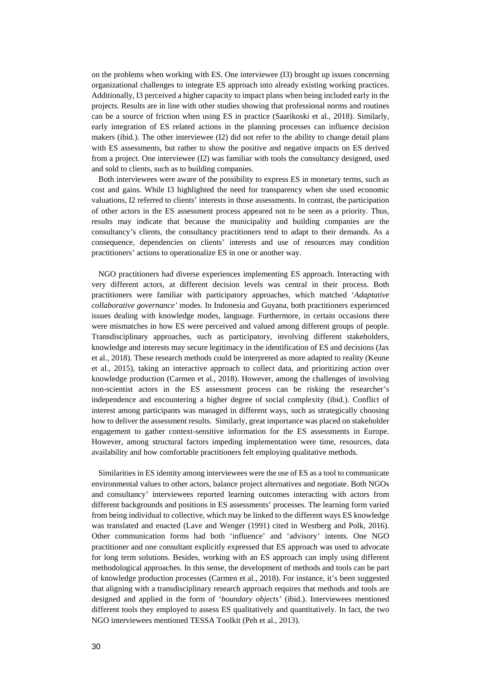on the problems when working with ES. One interviewee (I3) brought up issues concerning organizational challenges to integrate ES approach into already existing working practices. Additionally, I3 perceived a higher capacity to impact plans when being included early in the projects. Results are in line with other studies showing that professional norms and routines can be a source of friction when using ES in practice (Saarikoski et al., 2018). Similarly, early integration of ES related actions in the planning processes can influence decision makers (ibid.). The other interviewee (I2) did not refer to the ability to change detail plans with ES assessments, but rather to show the positive and negative impacts on ES derived from a project. One interviewee (I2) was familiar with tools the consultancy designed, used and sold to clients, such as to building companies.

Both interviewees were aware of the possibility to express ES in monetary terms, such as cost and gains. While I3 highlighted the need for transparency when she used economic valuations, I2 referred to clients' interests in those assessments. In contrast, the participation of other actors in the ES assessment process appeared not to be seen as a priority. Thus, results may indicate that because the municipality and building companies are the consultancy's clients, the consultancy practitioners tend to adapt to their demands. As a consequence, dependencies on clients' interests and use of resources may condition practitioners' actions to operationalize ES in one or another way.

NGO practitioners had diverse experiences implementing ES approach. Interacting with very different actors, at different decision levels was central in their process. Both practitioners were familiar with participatory approaches, which matched '*Adaptative collaborative governance'* modes. In Indonesia and Guyana, both practitioners experienced issues dealing with knowledge modes, language. Furthermore, in certain occasions there were mismatches in how ES were perceived and valued among different groups of people. Transdisciplinary approaches, such as participatory, involving different stakeholders, knowledge and interests may secure legitimacy in the identification of ES and decisions (Jax et al., 2018). These research methods could be interpreted as more adapted to reality (Keune et al., 2015), taking an interactive approach to collect data, and prioritizing action over knowledge production (Carmen et al., 2018). However, among the challenges of involving non-scientist actors in the ES assessment process can be risking the researcher's independence and encountering a higher degree of social complexity (ibid.). Conflict of interest among participants was managed in different ways, such as strategically choosing how to deliver the assessment results. Similarly, great importance was placed on stakeholder engagement to gather context-sensitive information for the ES assessments in Europe. However, among structural factors impeding implementation were time, resources, data availability and how comfortable practitioners felt employing qualitative methods.

Similarities in ES identity among interviewees were the use of ES as a tool to communicate environmental values to other actors, balance project alternatives and negotiate. Both NGOs and consultancy' interviewees reported learning outcomes interacting with actors from different backgrounds and positions in ES assessments' processes. The learning form varied from being individual to collective, which may be linked to the different ways ES knowledge was translated and enacted (Lave and Wenger (1991) cited in Westberg and Polk, 2016). Other communication forms had both 'influence' and 'advisory' intents. One NGO practitioner and one consultant explicitly expressed that ES approach was used to advocate for long term solutions. Besides, working with an ES approach can imply using different methodological approaches. In this sense, the development of methods and tools can be part of knowledge production processes (Carmen et al., 2018). For instance, it's been suggested that aligning with a transdisciplinary research approach requires that methods and tools are designed and applied in the form of '*boundary objects'* (ibid.). Interviewees mentioned different tools they employed to assess ES qualitatively and quantitatively. In fact, the two NGO interviewees mentioned TESSA Toolkit (Peh et al., 2013).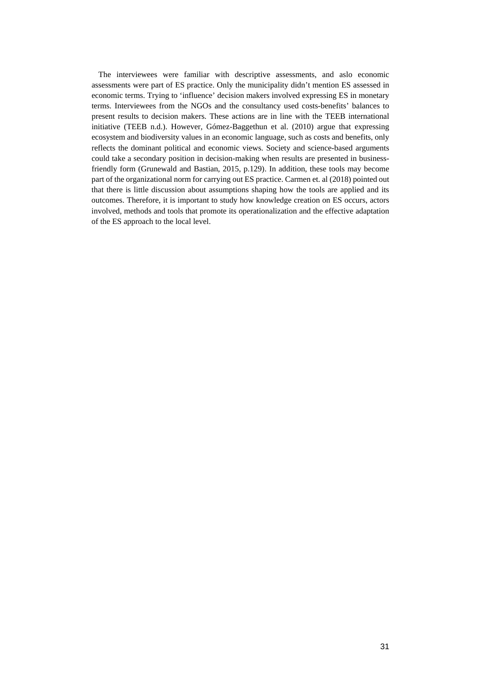The interviewees were familiar with descriptive assessments, and aslo economic assessments were part of ES practice. Only the municipality didn't mention ES assessed in economic terms. Trying to 'influence' decision makers involved expressing ES in monetary terms. Interviewees from the NGOs and the consultancy used costs-benefits' balances to present results to decision makers. These actions are in line with the TEEB international initiative (TEEB n.d.). However, Gómez-Baggethun et al. (2010) argue that expressing ecosystem and biodiversity values in an economic language, such as costs and benefits, only reflects the dominant political and economic views. Society and science-based arguments could take a secondary position in decision-making when results are presented in businessfriendly form (Grunewald and Bastian, 2015, p.129). In addition, these tools may become part of the organizational norm for carrying out ES practice. Carmen et. al (2018) pointed out that there is little discussion about assumptions shaping how the tools are applied and its outcomes. Therefore, it is important to study how knowledge creation on ES occurs, actors involved, methods and tools that promote its operationalization and the effective adaptation of the ES approach to the local level.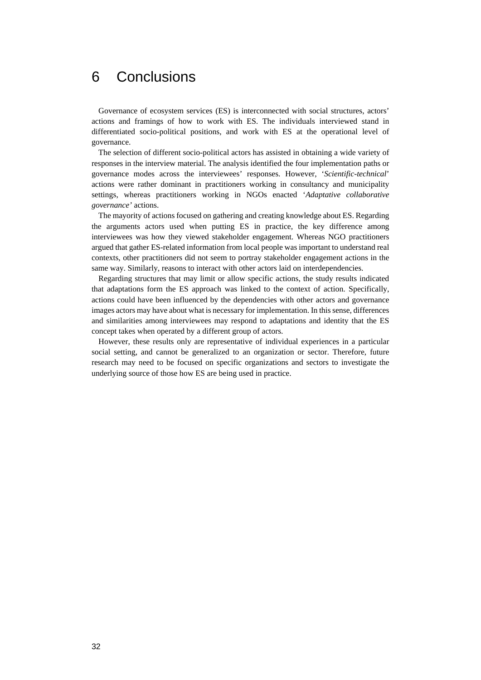## 6 Conclusions

Governance of ecosystem services (ES) is interconnected with social structures, actors' actions and framings of how to work with ES. The individuals interviewed stand in differentiated socio-political positions, and work with ES at the operational level of governance.

The selection of different socio-political actors has assisted in obtaining a wide variety of responses in the interview material. The analysis identified the four implementation paths or governance modes across the interviewees' responses. However, '*Scientific-technical*' actions were rather dominant in practitioners working in consultancy and municipality settings, whereas practitioners working in NGOs enacted '*Adaptative collaborative governance'* actions.

The mayority of actions focused on gathering and creating knowledge about ES. Regarding the arguments actors used when putting ES in practice, the key difference among interviewees was how they viewed stakeholder engagement. Whereas NGO practitioners argued that gather ES-related information from local people was important to understand real contexts, other practitioners did not seem to portray stakeholder engagement actions in the same way. Similarly, reasons to interact with other actors laid on interdependencies.

Regarding structures that may limit or allow specific actions, the study results indicated that adaptations form the ES approach was linked to the context of action. Specifically, actions could have been influenced by the dependencies with other actors and governance images actors may have about what is necessary for implementation. In this sense, differences and similarities among interviewees may respond to adaptations and identity that the ES concept takes when operated by a different group of actors.

However, these results only are representative of individual experiences in a particular social setting, and cannot be generalized to an organization or sector. Therefore, future research may need to be focused on specific organizations and sectors to investigate the underlying source of those how ES are being used in practice.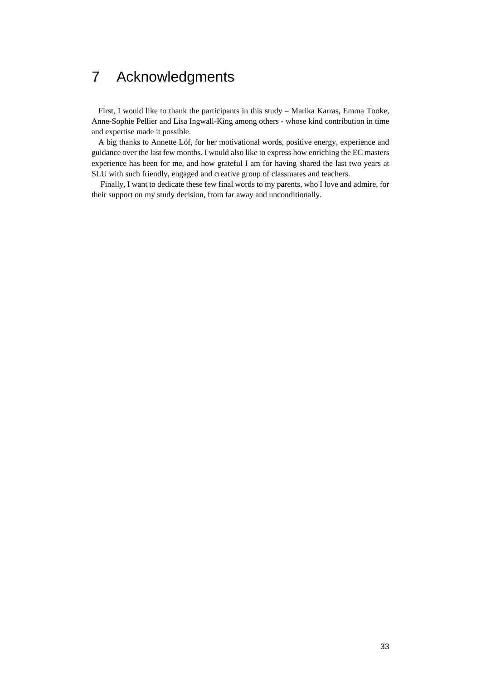## 7 Acknowledgments

First, I would like to thank the participants in this study – Marika Karras, Emma Tooke, Anne-Sophie Pellier and Lisa Ingwall-King among others - whose kind contribution in time and expertise made it possible.

A big thanks to Annette Löf, for her motivational words, positive energy, experience and guidance over the last few months. I would also like to express how enriching the EC masters experience has been for me, and how grateful I am for having shared the last two years at SLU with such friendly, engaged and creative group of classmates and teachers.

Finally, I want to dedicate these few final words to my parents, who I love and admire, for their support on my study decision, from far away and unconditionally.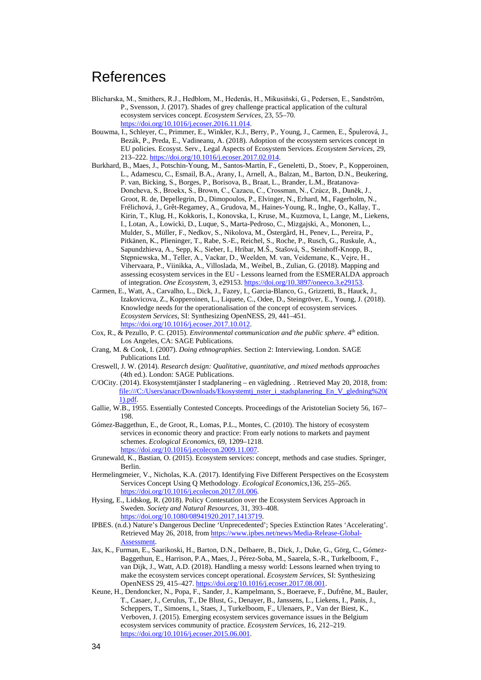## References

- Blicharska, M., Smithers, R.J., Hedblom, M., Hedenås, H., Mikusiński, G., Pedersen, E., Sandström, P., Svensson, J. (2017). Shades of grey challenge practical application of the cultural ecosystem services concept. *Ecosystem Services,* 23, 55–70. [https://doi.org/10.1016/j.ecoser.2016.11.014.](https://doi.org/10.1016/j.ecoser.2016.11.014)
- Bouwma, I., Schleyer, C., Primmer, E., Winkler, K.J., Berry, P., Young, J., Carmen, E., Špulerová, J., Bezák, P., Preda, E., Vadineanu, A. (2018). Adoption of the ecosystem services concept in EU policies. Ecosyst. Serv., Legal Aspects of Ecosystem Services. *Ecosystem Services,* 29, 213–222[. https://doi.org/10.1016/j.ecoser.2017.02.014.](https://doi.org/10.1016/j.ecoser.2017.02.014)
- Burkhard, B., Maes, J., Potschin-Young, M., Santos-Martín, F., Geneletti, D., Stoev, P., Kopperoinen, L., Adamescu, C., Esmail, B.A., Arany, I., Arnell, A., Balzan, M., Barton, D.N., Beukering, P. van, Bicking, S., Borges, P., Borisova, B., Braat, L., Brander, L.M., Bratanova-Doncheva, S., Broekx, S., Brown, C., Cazacu, C., Crossman, N., Czúcz, B., Daněk, J., Groot, R. de, Depellegrin, D., Dimopoulos, P., Elvinger, N., Erhard, M., Fagerholm, N., Frélichová, J., Grêt-Regamey, A., Grudova, M., Haines-Young, R., Inghe, O., Kallay, T., Kirin, T., Klug, H., Kokkoris, I., Konovska, I., Kruse, M., Kuzmova, I., Lange, M., Liekens, I., Lotan, A., Lowicki, D., Luque, S., Marta-Pedroso, C., Mizgajski, A., Mononen, L., Mulder, S., Müller, F., Nedkov, S., Nikolova, M., Östergård, H., Penev, L., Pereira, P., Pitkänen, K., Plieninger, T., Rabe, S.-E., Reichel, S., Roche, P., Rusch, G., Ruskule, A., Sapundzhieva, A., Sepp, K., Sieber, I., Hribar, M.Š., Stašová, S., Steinhoff-Knopp, B., Stępniewska, M., Teller, A., Vackar, D., Weelden, M. van, Veidemane, K., Vejre, H., Vihervaara, P., Viinikka, A., Villoslada, M., Weibel, B., Zulian, G. (2018). Mapping and assessing ecosystem services in the EU - Lessons learned from the ESMERALDA approach of integration. *One Ecosystem*, 3, e29153[. https://doi.org/10.3897/oneeco.3.e29153.](https://doi.org/10.3897/oneeco.3.e29153)
- Carmen, E., Watt, A., Carvalho, L., Dick, J., Fazey, I., Garcia-Blanco, G., Grizzetti, B., Hauck, J., Izakovicova, Z., Kopperoinen, L., Liquete, C., Odee, D., Steingröver, E., Young, J. (2018). Knowledge needs for the operationalisation of the concept of ecosystem services. *Ecosystem Services*, SI: Synthesizing OpenNESS, 29, 441–451. [https://doi.org/10.1016/j.ecoser.2017.10.012.](https://doi.org/10.1016/j.ecoser.2017.10.012)
- Cox, R., & Pezullo, P. C. (2015). *Environmental communication and the public sphere*. 4<sup>th</sup> edition. Los Angeles, CA: SAGE Publications.
- Crang, M. & Cook, I. (2007). *Doing ethnographies*. Section 2: Interviewing. London. SAGE Publications Ltd.
- Creswell, J. W. (2014). *Research design: Qualitative, quantitative, and mixed methods approaches*  (4th ed.). London: SAGE Publications.
- C/OCity. (2014). Ekosystemtjänster I stadplanering en vägledning. . Retrieved May 20, 2018, from: file:///C:/Users/anacr/Downloads/Ekosystemtj\_nster\_i\_stadsplanering\_En\_V\_gledning%20( 1).pdf.
- Gallie, W.B., 1955. Essentially Contested Concepts. Proceedings of the Aristotelian Society 56, 167– 198.
- Gómez-Baggethun, E., de Groot, R., Lomas, P.L., Montes, C. (2010). The history of ecosystem services in economic theory and practice: From early notions to markets and payment schemes. *Ecological Economics*, 69, 1209–1218. [https://doi.org/10.1016/j.ecolecon.2009.11.007.](https://doi.org/10.1016/j.ecolecon.2009.11.007)
- Grunewald, K., Bastian, O. (2015). Ecosystem services: concept, methods and case studies. Springer, Berlin.
- Hermelingmeier, V., Nicholas, K.A. (2017). Identifying Five Different Perspectives on the Ecosystem Services Concept Using Q Methodology. *Ecological Economics*,136, 255–265. [https://doi.org/10.1016/j.ecolecon.2017.01.006.](https://doi.org/10.1016/j.ecolecon.2017.01.006)
- Hysing, E., Lidskog, R. (2018). Policy Contestation over the Ecosystem Services Approach in Sweden. *Society and Natural Resources*, 31, 393–408. [https://doi.org/10.1080/08941920.2017.1413719.](https://doi.org/10.1080/08941920.2017.1413719)
- IPBES. (n.d.) Nature's Dangerous Decline 'Unprecedented'; Species Extinction Rates 'Accelerating'. Retrieved May 26, 2018, from [https://www.ipbes.net/news/Media-Release-Global-](https://www.ipbes.net/news/Media-Release-Global-Assessment)[Assessment.](https://www.ipbes.net/news/Media-Release-Global-Assessment)
- Jax, K., Furman, E., Saarikoski, H., Barton, D.N., Delbaere, B., Dick, J., Duke, G., Görg, C., Gómez-Baggethun, E., Harrison, P.A., Maes, J., Pérez-Soba, M., Saarela, S.-R., Turkelboom, F., van Dijk, J., Watt, A.D. (2018). Handling a messy world: Lessons learned when trying to make the ecosystem services concept operational. *Ecosystem Services*, SI: Synthesizing OpenNESS 29, 415–427[. https://doi.org/10.1016/j.ecoser.2017.08.001.](https://doi.org/10.1016/j.ecoser.2017.08.001)
- Keune, H., Dendoncker, N., Popa, F., Sander, J., Kampelmann, S., Boeraeve, F., Dufrêne, M., Bauler, T., Casaer, J., Cerulus, T., De Blust, G., Denayer, B., Janssens, L., Liekens, I., Panis, J., Scheppers, T., Simoens, I., Staes, J., Turkelboom, F., Ulenaers, P., Van der Biest, K., Verboven, J. (2015). Emerging ecosystem services governance issues in the Belgium ecosystem services community of practice. *Ecosystem Services*, 16, 212–219. [https://doi.org/10.1016/j.ecoser.2015.06.001.](https://doi.org/10.1016/j.ecoser.2015.06.001)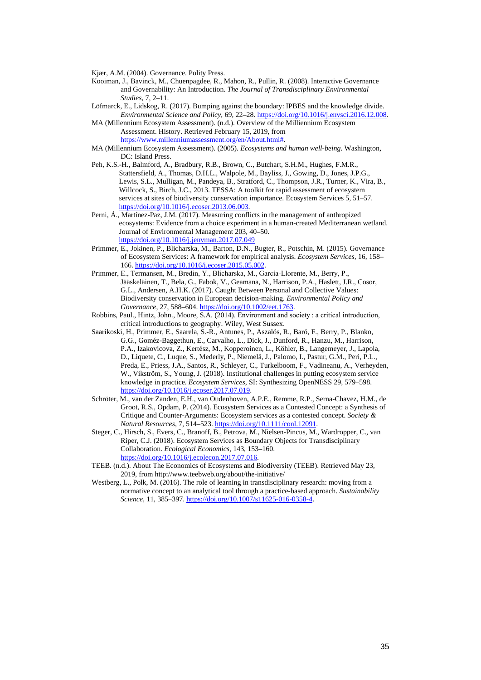Kjær, A.M. (2004). Governance. Polity Press.

- Kooiman, J., Bavinck, M., Chuenpagdee, R., Mahon, R., Pullin, R. (2008). Interactive Governance and Governability: An Introduction. *The Journal of Transdisciplinary Environmental Studies*, 7, 2–11.
- Löfmarck, E., Lidskog, R. (2017). Bumping against the boundary: IPBES and the knowledge divide. *Environmental Science and Policy*, 69, 22–28[. https://doi.org/10.1016/j.envsci.2016.12.008.](https://doi.org/10.1016/j.envsci.2016.12.008)
- MA (Millennium Ecosystem Assessment). (n.d.). Overview of the Milliennium Ecosystem Assessment. History. Retrieved February 15, 2019, from
	- [https://www.millenniumassessment.org/en/About.html#.](https://www.millenniumassessment.org/en/About.html)
- MA (Millennium Ecosystem Assessment). (2005). *Ecosystems and human well-being*. Washington, DC: Island Press.
- Peh, K.S.-H., Balmford, A., Bradbury, R.B., Brown, C., Butchart, S.H.M., Hughes, F.M.R., Stattersfield, A., Thomas, D.H.L., Walpole, M., Bayliss, J., Gowing, D., Jones, J.P.G., Lewis, S.L., Mulligan, M., Pandeya, B., Stratford, C., Thompson, J.R., Turner, K., Vira, B., Willcock, S., Birch, J.C., 2013. TESSA: A toolkit for rapid assessment of ecosystem services at sites of biodiversity conservation importance. Ecosystem Services 5, 51–57. [https://doi.org/10.1016/j.ecoser.2013.06.003.](https://doi.org/10.1016/j.ecoser.2013.06.003)
- Perni, Á., Martínez-Paz, J.M. (2017). Measuring conflicts in the management of anthropized ecosystems: Evidence from a choice experiment in a human-created Mediterranean wetland. Journal of Environmental Management 203, 40–50. <https://doi.org/10.1016/j.jenvman.2017.07.049>
- Primmer, E., Jokinen, P., Blicharska, M., Barton, D.N., Bugter, R., Potschin, M. (2015). Governance of Ecosystem Services: A framework for empirical analysis. *Ecosystem Services,* 16, 158– 166[. https://doi.org/10.1016/j.ecoser.2015.05.002.](https://doi.org/10.1016/j.ecoser.2015.05.002)
- Primmer, E., Termansen, M., Bredin, Y., Blicharska, M., García‐Llorente, M., Berry, P., Jääskeläinen, T., Bela, G., Fabok, V., Geamana, N., Harrison, P.A., Haslett, J.R., Cosor, G.L., Andersen, A.H.K. (2017). Caught Between Personal and Collective Values: Biodiversity conservation in European decision-making. *Environmental Policy and Governance*, 27, 588–604[. https://doi.org/10.1002/eet.1763.](https://doi.org/10.1002/eet.1763)
- Robbins, Paul., Hintz, John., Moore, S.A. (2014). Environment and society : a critical introduction, critical introductions to geography. Wiley, West Sussex.
- Saarikoski, H., Primmer, E., Saarela, S.-R., Antunes, P., Aszalós, R., Baró, F., Berry, P., Blanko, G.G., Goméz-Baggethun, E., Carvalho, L., Dick, J., Dunford, R., Hanzu, M., Harrison, P.A., Izakovicova, Z., Kertész, M., Kopperoinen, L., Köhler, B., Langemeyer, J., Lapola, D., Liquete, C., Luque, S., Mederly, P., Niemelä, J., Palomo, I., Pastur, G.M., Peri, P.L., Preda, E., Priess, J.A., Santos, R., Schleyer, C., Turkelboom, F., Vadineanu, A., Verheyden, W., Vikström, S., Young, J. (2018). Institutional challenges in putting ecosystem service knowledge in practice. *Ecosystem Services*, SI: Synthesizing OpenNESS 29, 579–598. [https://doi.org/10.1016/j.ecoser.2017.07.019.](https://doi.org/10.1016/j.ecoser.2017.07.019)
- Schröter, M., van der Zanden, E.H., van Oudenhoven, A.P.E., Remme, R.P., Serna-Chavez, H.M., de Groot, R.S., Opdam, P. (2014). Ecosystem Services as a Contested Concept: a Synthesis of Critique and Counter-Arguments: Ecosystem services as a contested concept. *Society & Natural Resources*, 7, 514–523. [https://doi.org/10.1111/conl.12091.](https://doi.org/10.1111/conl.12091)
- Steger, C., Hirsch, S., Evers, C., Branoff, B., Petrova, M., Nielsen-Pincus, M., Wardropper, C., van Riper, C.J. (2018). Ecosystem Services as Boundary Objects for Transdisciplinary Collaboration. *Ecological Economics*, 143, 153–160. [https://doi.org/10.1016/j.ecolecon.2017.07.016.](https://doi.org/10.1016/j.ecolecon.2017.07.016)
- TEEB. (n.d.). About The Economics of Ecosystems and Biodiversity (TEEB). Retrieved May 23, 2019, from http://www.teebweb.org/about/the-initiative/
- Westberg, L., Polk, M. (2016). The role of learning in transdisciplinary research: moving from a normative concept to an analytical tool through a practice-based approach. *Sustainability Science,* 11, 385–397. [https://doi.org/10.1007/s11625-016-0358-4.](https://doi.org/10.1007/s11625-016-0358-4)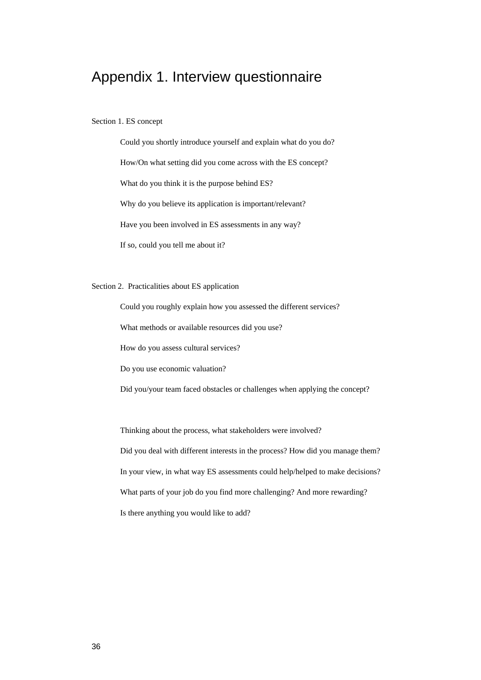## Appendix 1. Interview questionnaire

### Section 1. ES concept

Could you shortly introduce yourself and explain what do you do? How/On what setting did you come across with the ES concept? What do you think it is the purpose behind ES? Why do you believe its application is important/relevant? Have you been involved in ES assessments in any way? If so, could you tell me about it?

Section 2. Practicalities about ES application

Could you roughly explain how you assessed the different services?

What methods or available resources did you use?

How do you assess cultural services?

Do you use economic valuation?

Did you/your team faced obstacles or challenges when applying the concept?

Thinking about the process, what stakeholders were involved?

Did you deal with different interests in the process? How did you manage them? In your view, in what way ES assessments could help/helped to make decisions? What parts of your job do you find more challenging? And more rewarding? Is there anything you would like to add?